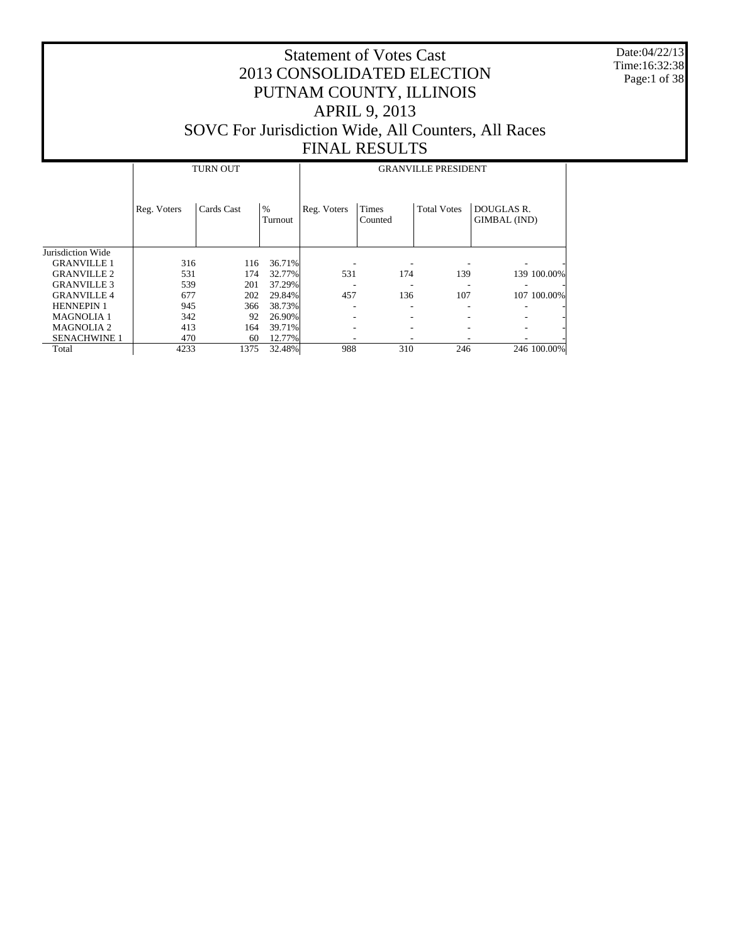Date:04/22/13 Time:16:32:38 Page:1 of 38

|                     |             | <b>TURN OUT</b> |                 | <b>GRANVILLE PRESIDENT</b> |                  |                    |                            |  |  |  |  |
|---------------------|-------------|-----------------|-----------------|----------------------------|------------------|--------------------|----------------------------|--|--|--|--|
|                     | Reg. Voters | Cards Cast      | $\%$<br>Turnout | Reg. Voters                | Times<br>Counted | <b>Total Votes</b> | DOUGLAS R.<br>GIMBAL (IND) |  |  |  |  |
| Jurisdiction Wide   |             |                 |                 |                            |                  |                    |                            |  |  |  |  |
| <b>GRANVILLE 1</b>  | 316         | 116             | 36.71%          |                            |                  |                    |                            |  |  |  |  |
| <b>GRANVILLE 2</b>  | 531         | 174             | 32.77%          | 531                        | 174              | 139                | 139 100.00%                |  |  |  |  |
| <b>GRANVILLE 3</b>  | 539         | 201             | 37.29%          |                            |                  |                    |                            |  |  |  |  |
| <b>GRANVILLE 4</b>  | 677         | 202             | 29.84%          | 457                        | 136              | 107                | 107 100,00%                |  |  |  |  |
| <b>HENNEPIN 1</b>   | 945         | 366             | 38.73%          |                            |                  |                    |                            |  |  |  |  |
| <b>MAGNOLIA1</b>    | 342         | 92              | 26.90%          |                            |                  |                    |                            |  |  |  |  |
| <b>MAGNOLIA 2</b>   | 413         | 164             | 39.71%          |                            |                  |                    |                            |  |  |  |  |
| <b>SENACHWINE 1</b> | 470         | 60              | 12.77%          |                            |                  |                    |                            |  |  |  |  |
| Total               | 4233        | 1375            | 32.48%          | 988                        | 310              | 246                | 246 100.00%                |  |  |  |  |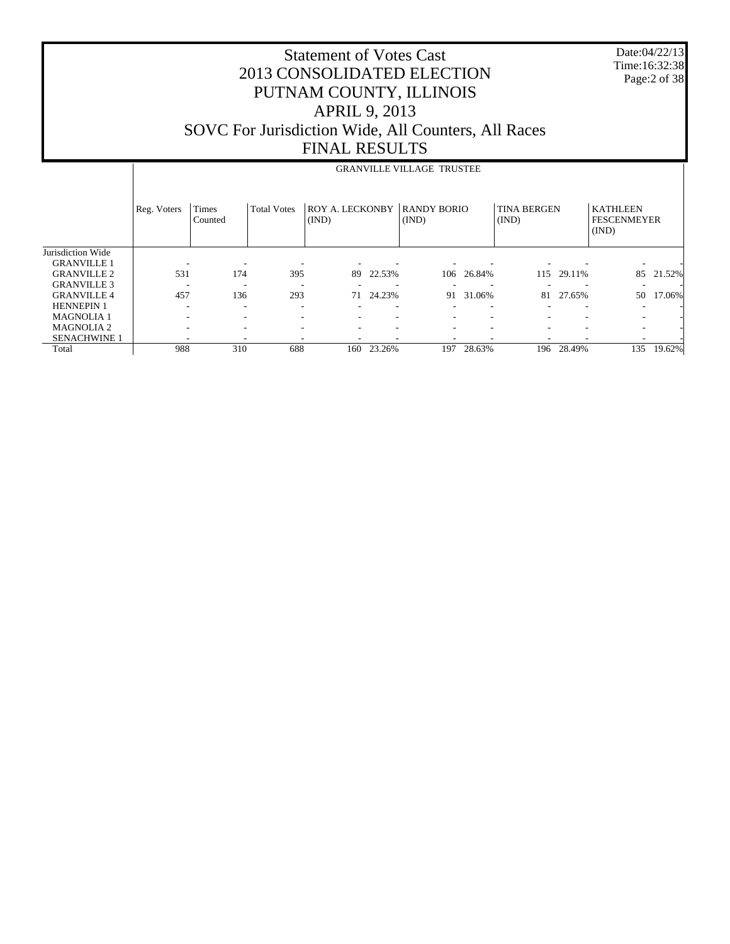| <b>Statement of Votes Cast</b>                      |
|-----------------------------------------------------|
| 2013 CONSOLIDATED ELECTION                          |
| PUTNAM COUNTY, ILLINOIS                             |
| <b>APRIL 9, 2013</b>                                |
| SOVC For Jurisdiction Wide, All Counters, All Races |
| <b>FINAL RESULTS</b>                                |

Page:2 of 38

Date:04/22/13 Time:16:32:38

#### Jurisdiction Wide GRANVILLE 1 GRANVILLE 2 GRANVILLE 3 GRANVILLE 4 HENNEPIN 1 MAGNOLIA 1 MAGNOLIA 2 SENACHWINE 1 Total Reg. Voters Times Counted Total Votes | ROY A. LECKONBY | RANDY BORIO (IND) (IND) TINA BERGEN (IND) KATHLEEN FESCENMEYER (IND) GRANVILLE VILLAGE TRUSTEE - - - - - - - - - - - 531 174 395 89 22.53% 106 26.84% 115 29.11% 85 21.52% - - - - - - - - - - - 457 136 293 71 24.23% 91 31.06% 81 27.65% 50 17.06% - - - - - - - - - - - - - - - - - - - - - - - - - - - - - - - - - - - - - - - - - - - - 988 310 688 160 23.26% 197 28.63% 196 28.49% 135 19.62%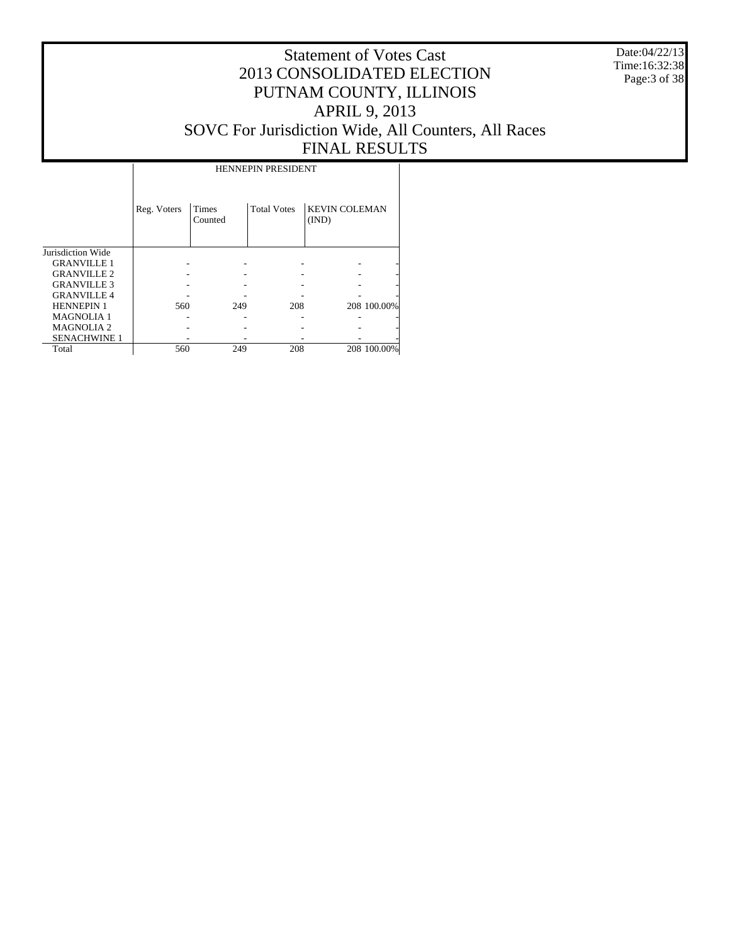Date:04/22/13 Time:16:32:38 Page:3 of 38

## Statement of Votes Cast 2013 CONSOLIDATED ELECTION PUTNAM COUNTY, ILLINOIS APRIL 9, 2013 SOVC For Jurisdiction Wide, All Counters, All Races FINAL RESULTS

Τ

|                     | Reg. Voters | <b>Times</b><br>Counted | <b>Total Votes</b> | <b>KEVIN COLEMAN</b><br>(IND) |             |
|---------------------|-------------|-------------------------|--------------------|-------------------------------|-------------|
| Jurisdiction Wide   |             |                         |                    |                               |             |
| <b>GRANVILLE 1</b>  |             |                         |                    |                               |             |
| <b>GRANVILLE 2</b>  |             |                         |                    |                               |             |
| <b>GRANVILLE 3</b>  |             |                         |                    |                               |             |
| <b>GRANVILLE 4</b>  |             |                         |                    |                               |             |
| <b>HENNEPIN 1</b>   | 560         | 249                     | 208                |                               | 208 100.00% |
| <b>MAGNOLIA 1</b>   |             |                         |                    |                               |             |
| <b>MAGNOLIA2</b>    |             |                         |                    |                               |             |
| <b>SENACHWINE 1</b> |             |                         |                    |                               |             |
| Total               | 560         | 249                     | 208                |                               | 208 100.00% |

 $\overline{\phantom{a}}$ 

HENNEPIN PRESIDENT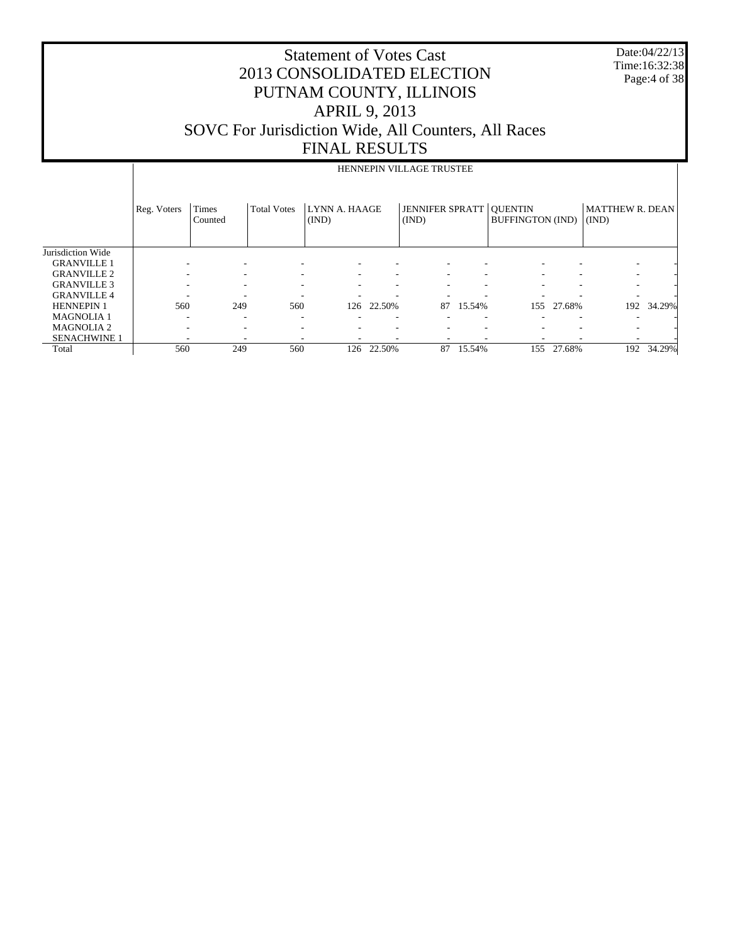| <b>Statement of Votes Cast</b>                             |
|------------------------------------------------------------|
| 2013 CONSOLIDATED ELECTION                                 |
| PUTNAM COUNTY, ILLINOIS                                    |
| <b>APRIL 9, 2013</b>                                       |
| <b>SOVC</b> For Jurisdiction Wide, All Counters, All Races |
| <b>FINAL RESULTS</b>                                       |

Date:04/22/13 Time:16:32:38 Page:4 of 38

|                     |             |                  |                    |                        |            | HENNEPIN VILLAGE TRUSTEE        |        |                                           |        |                                 |            |
|---------------------|-------------|------------------|--------------------|------------------------|------------|---------------------------------|--------|-------------------------------------------|--------|---------------------------------|------------|
|                     | Reg. Voters | Times<br>Counted | <b>Total Votes</b> | LYNN A. HAAGE<br>(IND) |            | <b>JENNIFER SPRATT</b><br>(IND) |        | <b>QUENTIN</b><br><b>BUFFINGTON (IND)</b> |        | <b>MATTHEW R. DEAN</b><br>(IND) |            |
| Jurisdiction Wide   |             |                  |                    |                        |            |                                 |        |                                           |        |                                 |            |
| <b>GRANVILLE 1</b>  |             |                  |                    |                        |            |                                 |        |                                           |        |                                 |            |
| <b>GRANVILLE 2</b>  |             | ٠                |                    |                        |            |                                 |        |                                           |        |                                 |            |
| <b>GRANVILLE 3</b>  |             |                  |                    |                        |            |                                 |        |                                           |        |                                 |            |
| <b>GRANVILLE 4</b>  |             |                  |                    |                        |            |                                 |        |                                           |        |                                 |            |
| <b>HENNEPIN 1</b>   | 560         | 249              | 560                |                        | 126 22.50% | 87                              | 15.54% | 155                                       | 27.68% |                                 | 192 34.29% |
| <b>MAGNOLIA 1</b>   |             | -                |                    |                        |            |                                 |        |                                           |        |                                 |            |
| <b>MAGNOLIA 2</b>   |             | ۰                |                    |                        |            |                                 |        |                                           |        |                                 |            |
| <b>SENACHWINE 1</b> |             |                  |                    |                        |            |                                 |        |                                           |        |                                 |            |
| Total               | 560         | 249              | 560                | 126                    | 22.50%     | 87                              | 15.54% | 155                                       | 27.68% | 192                             | 34.29%     |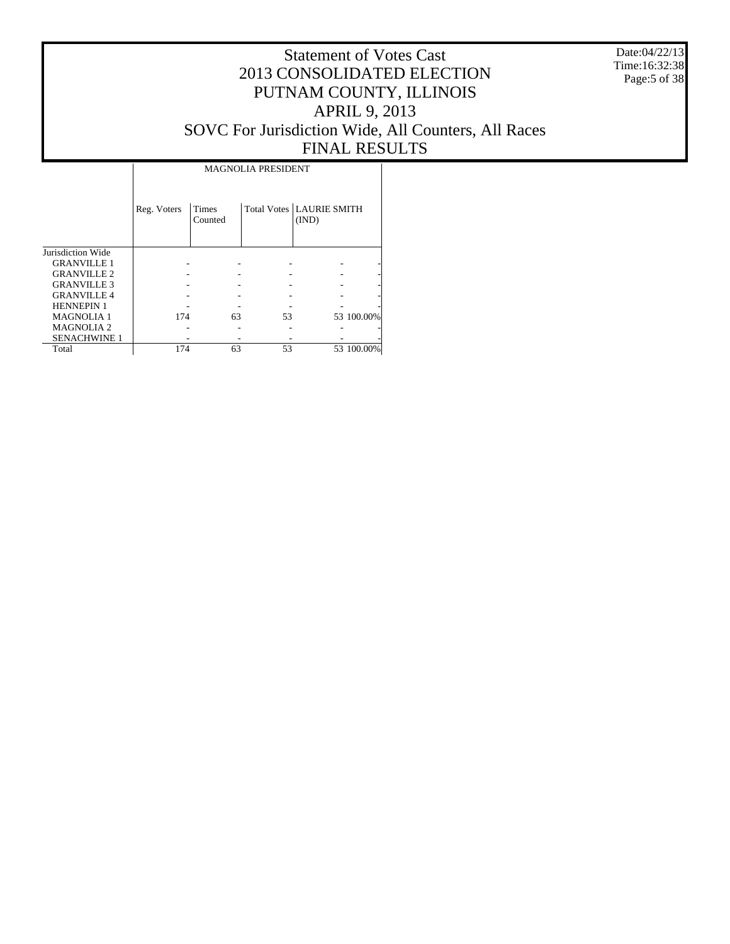Date:04/22/13 Time:16:32:38 Page:5 of 38

#### Statement of Votes Cast 2013 CONSOLIDATED ELECTION PUTNAM COUNTY, ILLINOIS APRIL 9, 2013 SOVC For Jurisdiction Wide, All Counters, All Races FINAL RESULTS

Τ

|                     |             |                  | <b>MAGNOLIA PRESIDENT</b> |                                            |            |
|---------------------|-------------|------------------|---------------------------|--------------------------------------------|------------|
|                     | Reg. Voters | Times<br>Counted |                           | <b>Total Votes   LAURIE SMITH</b><br>(IND) |            |
| Jurisdiction Wide   |             |                  |                           |                                            |            |
| <b>GRANVILLE 1</b>  |             |                  |                           |                                            |            |
| <b>GRANVILLE 2</b>  |             |                  |                           |                                            |            |
| <b>GRANVILLE 3</b>  |             |                  |                           |                                            |            |
| <b>GRANVILLE 4</b>  |             |                  |                           |                                            |            |
| <b>HENNEPIN 1</b>   |             |                  |                           |                                            |            |
| <b>MAGNOLIA1</b>    | 174         | 63               | 53                        |                                            | 53 100.00% |
| <b>MAGNOLIA2</b>    |             |                  |                           |                                            |            |
| <b>SENACHWINE 1</b> |             |                  |                           |                                            |            |
| Total               | 174         | 63               | 53                        |                                            | 53 100.00% |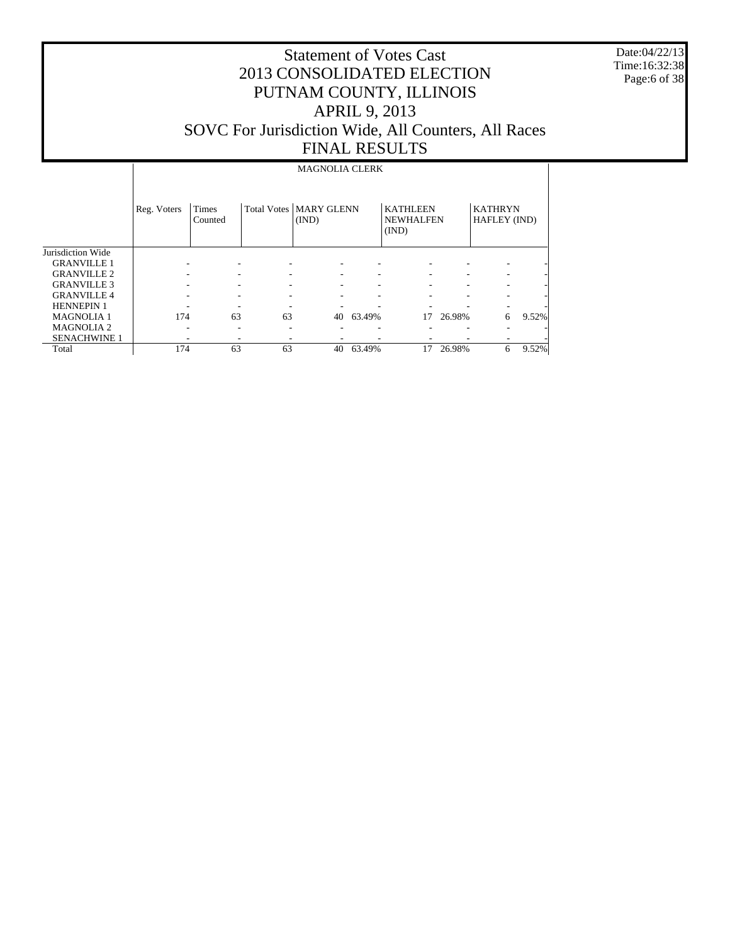Date:04/22/13 Time:16:32:38 Page:6 of 38

## Statement of Votes Cast 2013 CONSOLIDATED ELECTION PUTNAM COUNTY, ILLINOIS APRIL 9, 2013 SOVC For Jurisdiction Wide, All Counters, All Races FINAL RESULTS

#### MAGNOLIA CLERK

|                     | Reg. Voters | Times<br>Counted         |    | <b>Total Votes   MARY GLENN</b><br>(IND) |        | <b>KATHLEEN</b><br><b>NEWHALFEN</b><br>(IND) |        | <b>KATHRYN</b><br>HAFLEY (IND) |       |
|---------------------|-------------|--------------------------|----|------------------------------------------|--------|----------------------------------------------|--------|--------------------------------|-------|
| Jurisdiction Wide   |             |                          |    |                                          |        |                                              |        |                                |       |
| <b>GRANVILLE 1</b>  |             |                          |    |                                          |        |                                              |        |                                |       |
| <b>GRANVILLE 2</b>  |             | $\overline{\phantom{a}}$ |    | ٠                                        |        |                                              |        |                                |       |
| <b>GRANVILLE 3</b>  |             |                          |    |                                          |        |                                              |        |                                |       |
| <b>GRANVILLE 4</b>  |             | $\overline{\phantom{a}}$ |    |                                          |        |                                              |        |                                |       |
| <b>HENNEPIN 1</b>   |             |                          |    |                                          |        |                                              |        |                                |       |
| <b>MAGNOLIA 1</b>   | 174         | 63                       | 63 | 40                                       | 63.49% | 17                                           | 26.98% | 6                              | 9.52% |
| <b>MAGNOLIA 2</b>   |             |                          |    |                                          |        |                                              |        |                                |       |
| <b>SENACHWINE 1</b> |             |                          |    |                                          |        |                                              |        |                                |       |
| Total               | 174         | 63                       | 63 | 40                                       | 63.49% | 17                                           | 26.98% | 6                              | 9.52% |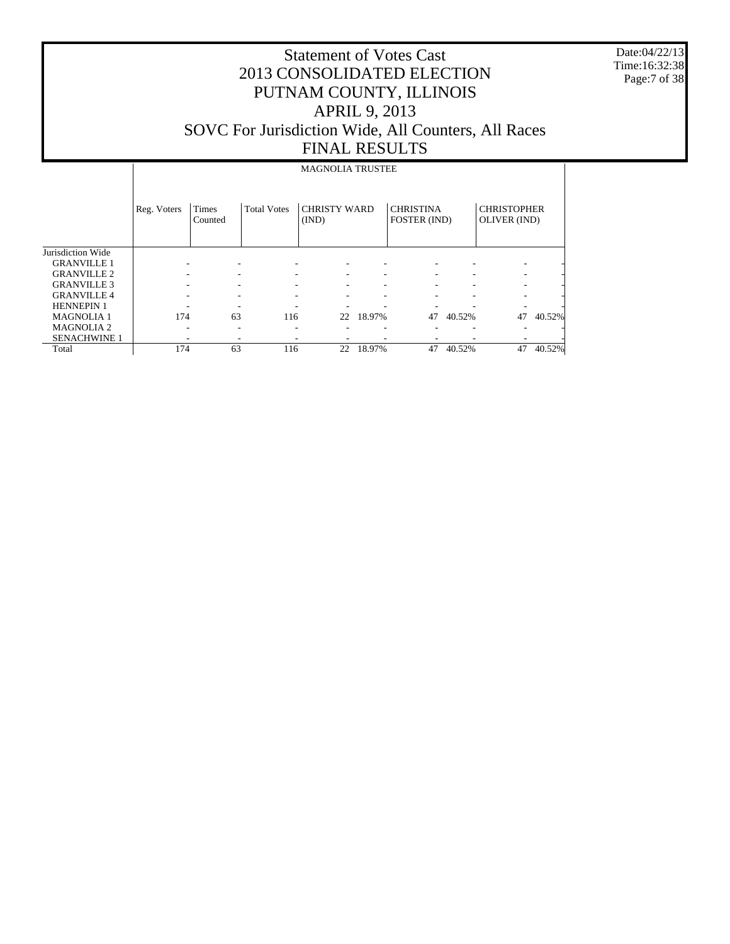Date:04/22/13 Time:16:32:38 Page:7 of 38

|                     |             | <b>MAGNOLIA TRUSTEE</b> |                    |                              |        |                                  |        |                                    |        |  |  |  |
|---------------------|-------------|-------------------------|--------------------|------------------------------|--------|----------------------------------|--------|------------------------------------|--------|--|--|--|
|                     | Reg. Voters | <b>Times</b><br>Counted | <b>Total Votes</b> | <b>CHRISTY WARD</b><br>(IND) |        | <b>CHRISTINA</b><br>FOSTER (IND) |        | <b>CHRISTOPHER</b><br>OLIVER (IND) |        |  |  |  |
| Jurisdiction Wide   |             |                         |                    |                              |        |                                  |        |                                    |        |  |  |  |
| <b>GRANVILLE 1</b>  |             |                         |                    |                              |        |                                  |        |                                    |        |  |  |  |
| <b>GRANVILLE 2</b>  |             |                         |                    |                              |        |                                  |        |                                    |        |  |  |  |
| <b>GRANVILLE 3</b>  |             |                         |                    |                              |        |                                  |        |                                    |        |  |  |  |
| <b>GRANVILLE 4</b>  |             |                         |                    |                              |        |                                  |        |                                    |        |  |  |  |
| <b>HENNEPIN 1</b>   |             |                         |                    |                              |        |                                  |        |                                    |        |  |  |  |
| <b>MAGNOLIA1</b>    | 174         | 63                      | 116                | 22                           | 18.97% | 47                               | 40.52% | 47                                 | 40.52% |  |  |  |
| <b>MAGNOLIA2</b>    |             |                         | ۰                  |                              |        |                                  |        |                                    |        |  |  |  |
| <b>SENACHWINE 1</b> |             |                         |                    |                              |        |                                  |        |                                    |        |  |  |  |
| Total               | 174         | 63                      | 116                | 22                           | 18.97% | 47                               | 40.52% | 47                                 | 40.52% |  |  |  |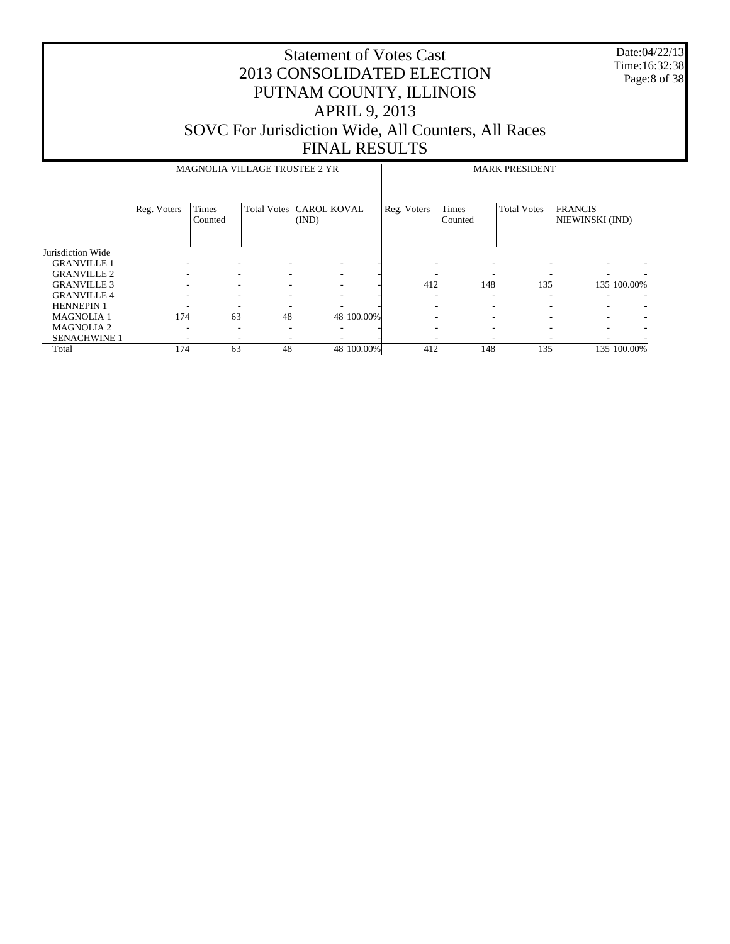Date:04/22/13 Time:16:32:38 Page:8 of 38

|                     |             | MAGNOLIA VILLAGE TRUSTEE 2 YR |    |                                    |            | <b>MARK PRESIDENT</b> |                         |                    |                                   |             |  |
|---------------------|-------------|-------------------------------|----|------------------------------------|------------|-----------------------|-------------------------|--------------------|-----------------------------------|-------------|--|
|                     | Reg. Voters | <b>Times</b><br>Counted       |    | Total Votes   CAROL KOVAL<br>(IND) |            | Reg. Voters           | <b>Times</b><br>Counted | <b>Total Votes</b> | <b>FRANCIS</b><br>NIEWINSKI (IND) |             |  |
| Jurisdiction Wide   |             |                               |    |                                    |            |                       |                         |                    |                                   |             |  |
| <b>GRANVILLE 1</b>  |             |                               | ٠  |                                    |            |                       |                         |                    |                                   |             |  |
| <b>GRANVILLE 2</b>  |             | ۰                             | ٠  |                                    |            |                       |                         |                    |                                   |             |  |
| <b>GRANVILLE 3</b>  |             | ۰                             | ۰  |                                    |            | 412                   | 148                     | 135                |                                   | 135 100.00% |  |
| <b>GRANVILLE 4</b>  |             |                               | ۰  |                                    |            |                       | ۰                       | ۰                  |                                   |             |  |
| <b>HENNEPIN 1</b>   |             |                               |    |                                    |            |                       | ۰                       |                    |                                   |             |  |
| <b>MAGNOLIA 1</b>   | 174         | 63                            | 48 |                                    | 48 100.00% |                       | ۰                       |                    |                                   |             |  |
| <b>MAGNOLIA2</b>    | ۰           | $\overline{\phantom{a}}$      | ۰  |                                    |            |                       | -                       | ۰                  |                                   |             |  |
| <b>SENACHWINE 1</b> |             | $\overline{\phantom{a}}$      | ٠  |                                    |            | -                     | ٠                       |                    |                                   |             |  |
| Total               | 174         | 63                            | 48 |                                    | 48 100.00% | 412                   | 148                     | 135                |                                   | 135 100.00% |  |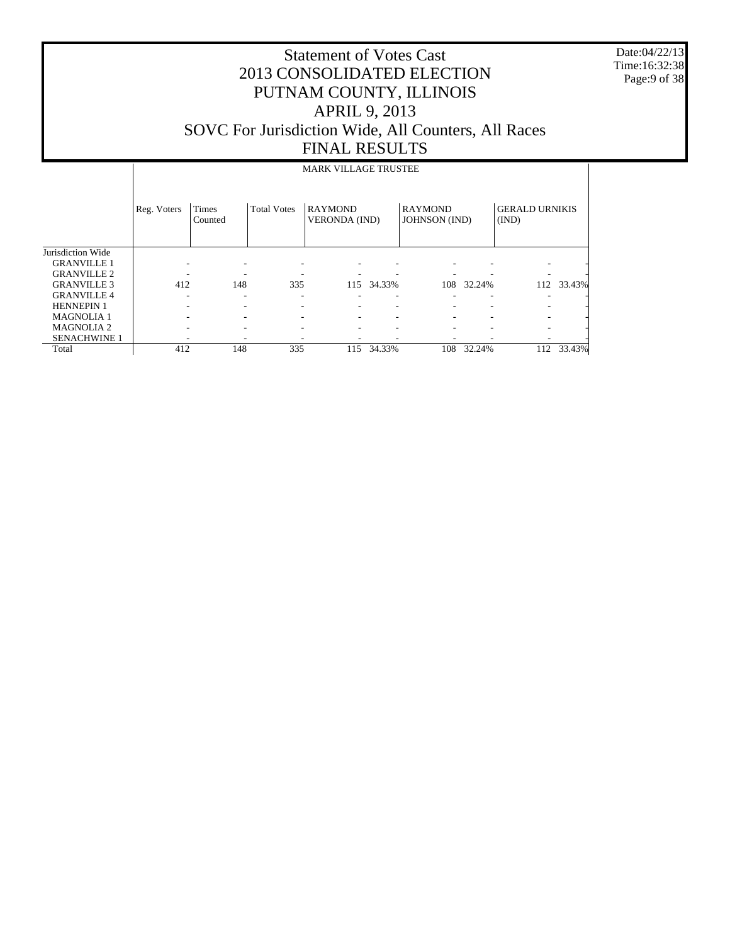Date:04/22/13 Time:16:32:38 Page:9 of 38

|                     |             | <b>MARK VILLAGE TRUSTEE</b> |                    |                                        |        |                                        |        |                                |        |  |  |  |  |
|---------------------|-------------|-----------------------------|--------------------|----------------------------------------|--------|----------------------------------------|--------|--------------------------------|--------|--|--|--|--|
|                     | Reg. Voters | <b>Times</b><br>Counted     | <b>Total Votes</b> | <b>RAYMOND</b><br><b>VERONDA</b> (IND) |        | <b>RAYMOND</b><br><b>JOHNSON</b> (IND) |        | <b>GERALD URNIKIS</b><br>(IND) |        |  |  |  |  |
| Jurisdiction Wide   |             |                             |                    |                                        |        |                                        |        |                                |        |  |  |  |  |
| <b>GRANVILLE 1</b>  |             |                             |                    |                                        |        |                                        |        |                                |        |  |  |  |  |
| <b>GRANVILLE 2</b>  |             |                             |                    |                                        |        |                                        |        |                                |        |  |  |  |  |
| <b>GRANVILLE 3</b>  | 412         | 148                         | 335                | 115                                    | 34.33% | 108                                    | 32.24% | 112                            | 33.43% |  |  |  |  |
| <b>GRANVILLE 4</b>  |             |                             |                    |                                        | -      |                                        |        |                                |        |  |  |  |  |
| <b>HENNEPIN 1</b>   |             |                             |                    |                                        |        |                                        |        |                                |        |  |  |  |  |
| <b>MAGNOLIA1</b>    |             |                             |                    |                                        |        | ۰                                      |        |                                |        |  |  |  |  |
| <b>MAGNOLIA2</b>    |             |                             |                    | ۰                                      |        |                                        |        |                                |        |  |  |  |  |
| <b>SENACHWINE 1</b> |             |                             |                    |                                        |        |                                        |        |                                |        |  |  |  |  |
| Total               | 412         | 148                         | 335                | 115                                    | 34.33% | 108                                    | 32.24% | 112                            | 33.43% |  |  |  |  |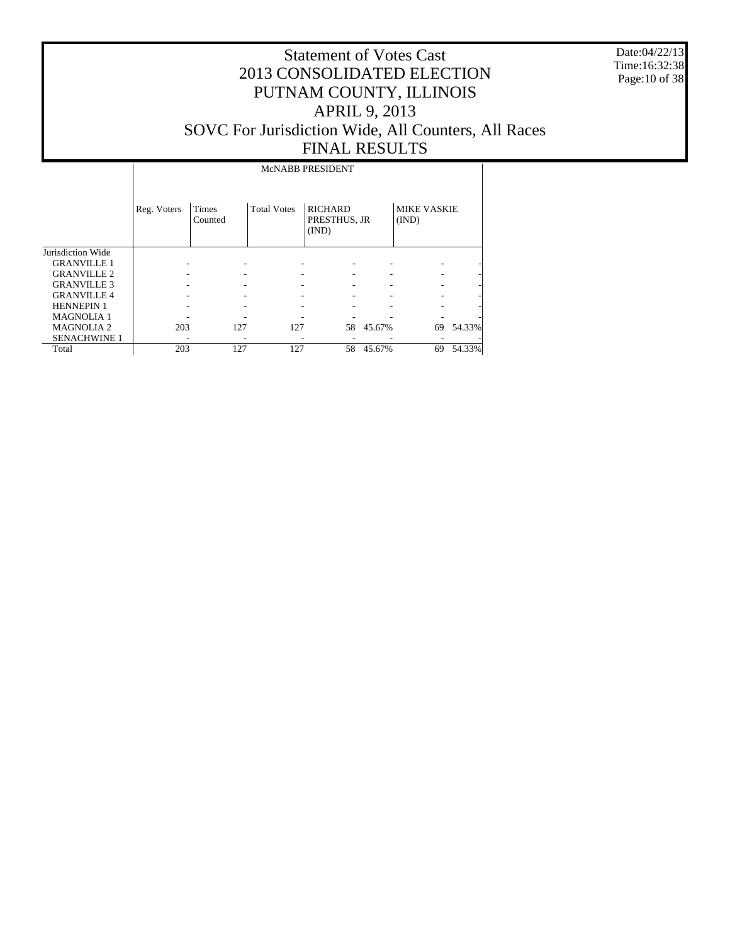Date:04/22/13 Time:16:32:38 Page:10 of 38

#### Statement of Votes Cast 2013 CONSOLIDATED ELECTION PUTNAM COUNTY, ILLINOIS APRIL 9, 2013 SOVC For Jurisdiction Wide, All Counters, All Races FINAL RESULTS

#### Jurisdiction Wide GRANVILLE 1 GRANVILLE 2 GRANVILLE 3 GRANVILLE 4 HENNEPIN 1 MAGNOLIA 1 MAGNOLIA 2 Reg. Voters Times Counted Total Votes | RICHARD PRESTHUS, JR (IND) MIKE VASKIE (IND) McNABB PRESIDENT - - - - - - - - - - - - - - - - - - - - - - - - - - - - - - - - - - - - - - - - - - 203 127 127 58 45.67% 69 54.33%

 SENACHWINE 1 Total - - - - - - - 203 127 127 58 45.67% 69 54.33%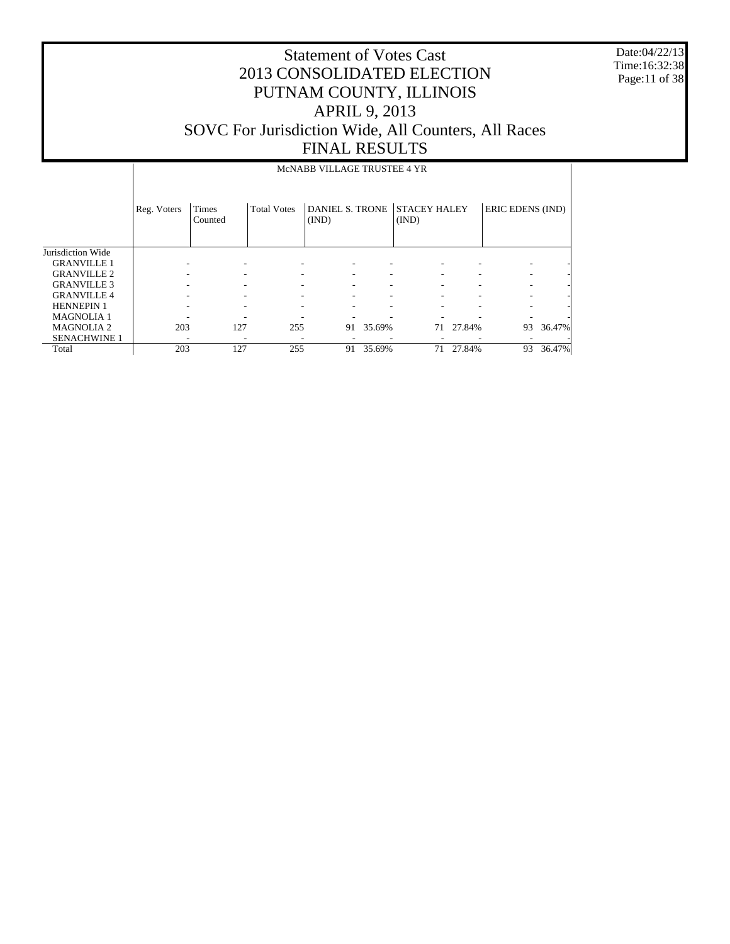Date:04/22/13 Time:16:32:38 Page:11 of 38

|                     |             |                          |                    | MCNABB VILLAGE TRUSTEE 4 YR     |        |                              |           |                  |        |
|---------------------|-------------|--------------------------|--------------------|---------------------------------|--------|------------------------------|-----------|------------------|--------|
|                     | Reg. Voters | <b>Times</b><br>Counted  | <b>Total Votes</b> | <b>DANIEL S. TRONE</b><br>(IND) |        | <b>STACEY HALEY</b><br>(IND) |           | ERIC EDENS (IND) |        |
| Jurisdiction Wide   |             |                          |                    |                                 |        |                              |           |                  |        |
| <b>GRANVILLE 1</b>  |             | $\overline{\phantom{a}}$ | ۰                  |                                 |        |                              |           | ۰                |        |
| <b>GRANVILLE 2</b>  |             |                          |                    |                                 |        |                              |           | ۰                |        |
| <b>GRANVILLE 3</b>  |             | ۰                        |                    |                                 |        |                              |           | ۰                |        |
| <b>GRANVILLE 4</b>  |             | ۰                        |                    |                                 |        |                              |           |                  |        |
| <b>HENNEPIN 1</b>   |             |                          |                    |                                 |        |                              |           |                  |        |
| <b>MAGNOLIA1</b>    |             |                          |                    |                                 |        |                              |           |                  |        |
| <b>MAGNOLIA2</b>    | 203         | 127                      | 255                | 91                              | 35.69% |                              | 71 27.84% | 93               | 36.47% |
| <b>SENACHWINE 1</b> | -           | ۰                        | ٠                  |                                 |        |                              |           |                  |        |
| Total               | 203         | 127                      | 255                | 91                              | 35.69% | 71                           | 27.84%    | 93               | 36.47% |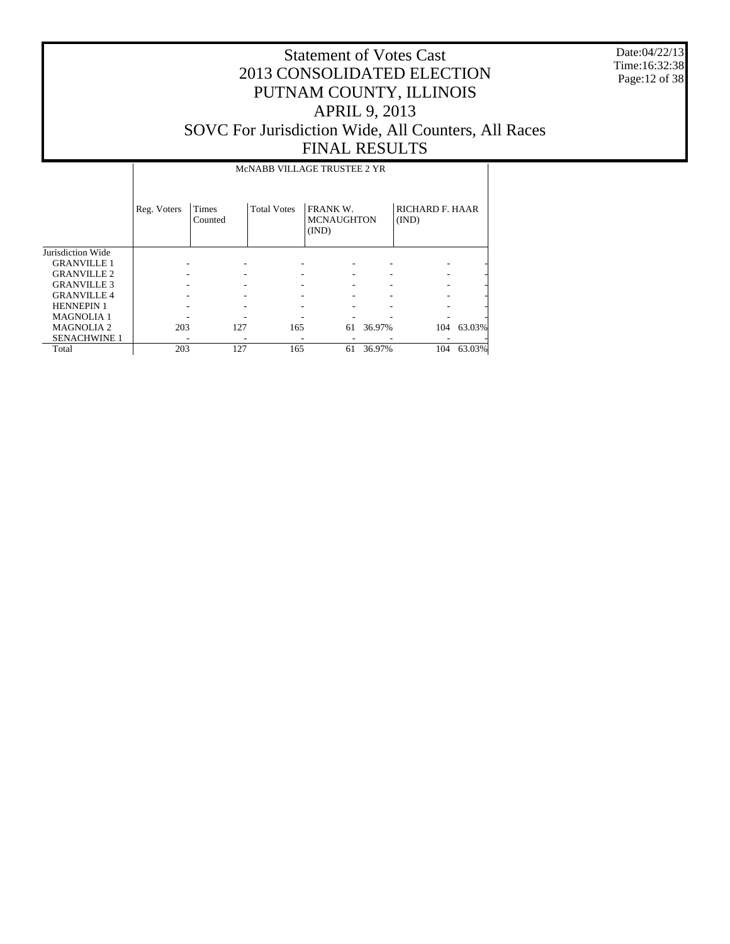Date:04/22/13 Time:16:32:38 Page:12 of 38

|                     |             | MCNABB VILLAGE TRUSTEE 2 YR |                    |                                        |        |                                 |        |  |  |  |  |
|---------------------|-------------|-----------------------------|--------------------|----------------------------------------|--------|---------------------------------|--------|--|--|--|--|
|                     | Reg. Voters | Times<br>Counted            | <b>Total Votes</b> | FRANK W.<br><b>MCNAUGHTON</b><br>(IND) |        | <b>RICHARD F. HAAR</b><br>(IND) |        |  |  |  |  |
| Jurisdiction Wide   |             |                             |                    |                                        |        |                                 |        |  |  |  |  |
| <b>GRANVILLE 1</b>  |             |                             |                    |                                        |        |                                 |        |  |  |  |  |
| <b>GRANVILLE 2</b>  |             |                             |                    |                                        |        |                                 |        |  |  |  |  |
| <b>GRANVILLE 3</b>  |             |                             |                    |                                        |        |                                 |        |  |  |  |  |
| <b>GRANVILLE4</b>   |             |                             |                    |                                        |        |                                 |        |  |  |  |  |
| <b>HENNEPIN1</b>    |             |                             |                    |                                        |        |                                 |        |  |  |  |  |
| <b>MAGNOLIA1</b>    |             |                             |                    |                                        |        |                                 |        |  |  |  |  |
| <b>MAGNOLIA2</b>    | 203         | 127                         | 165                | 61                                     | 36.97% | 104                             | 63.03% |  |  |  |  |
| <b>SENACHWINE 1</b> |             |                             |                    |                                        |        |                                 |        |  |  |  |  |
| Total               | 203         | 127                         | 165                | 61                                     | 36.97% | 104                             | 63.03% |  |  |  |  |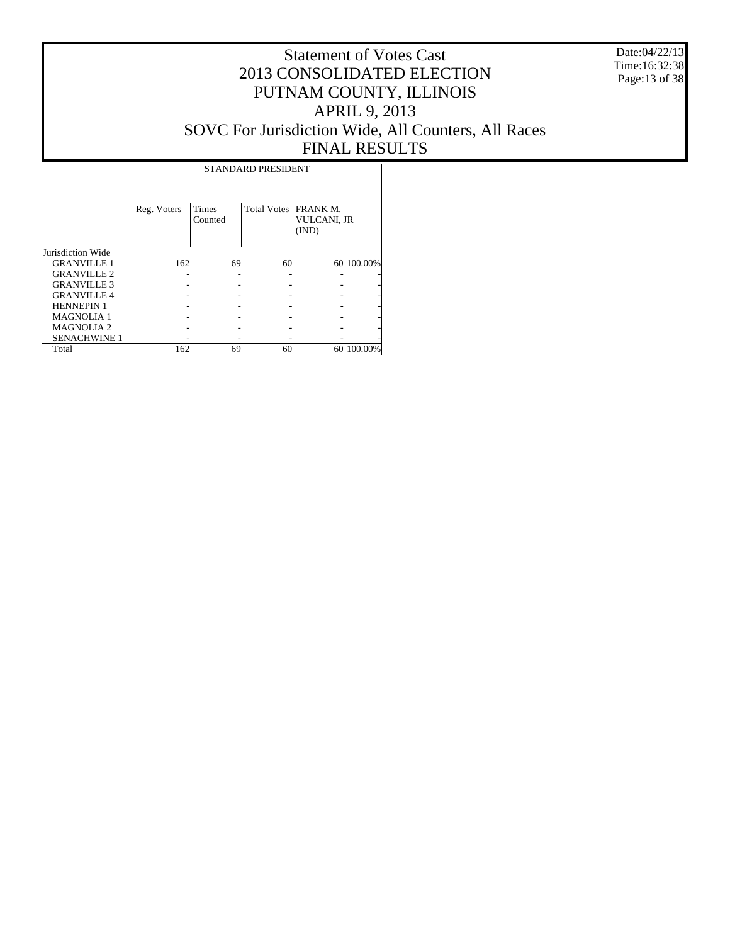Date:04/22/13 Time:16:32:38 Page:13 of 38

#### Statement of Votes Cast 2013 CONSOLIDATED ELECTION PUTNAM COUNTY, ILLINOIS APRIL 9, 2013 SOVC For Jurisdiction Wide, All Counters, All Races FINAL RESULTS

Τ

|                     |             |                  | STANDARD PRESIDENT     |                      |            |
|---------------------|-------------|------------------|------------------------|----------------------|------------|
|                     | Reg. Voters | Times<br>Counted | Total Votes   FRANK M. | VULCANI, JR<br>(IND) |            |
| Jurisdiction Wide   |             |                  |                        |                      |            |
| <b>GRANVILLE 1</b>  | 162         | 69               | 60                     |                      | 60 100.00% |
| <b>GRANVILLE 2</b>  |             |                  |                        |                      |            |
| <b>GRANVILLE 3</b>  |             |                  |                        |                      |            |
| <b>GRANVILLE 4</b>  |             |                  |                        |                      |            |
| <b>HENNEPIN 1</b>   |             |                  |                        |                      |            |
| <b>MAGNOLIA1</b>    |             |                  |                        |                      |            |
| <b>MAGNOLIA2</b>    |             |                  |                        |                      |            |
| <b>SENACHWINE 1</b> |             |                  |                        |                      |            |
| Total               | 162         | 69               | 60                     |                      | 60 100.00% |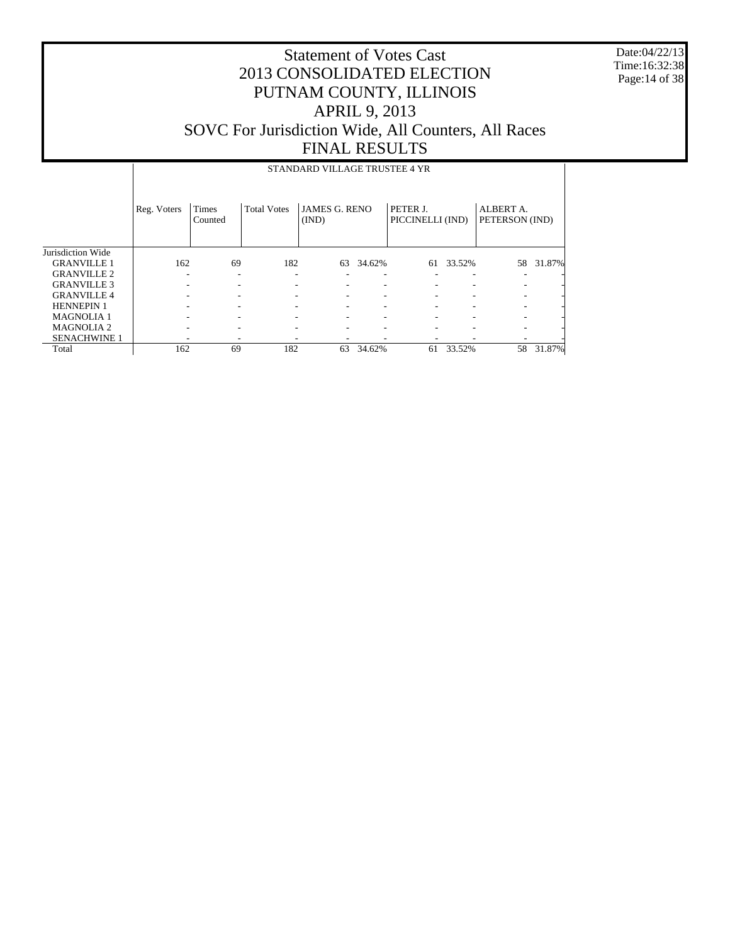Date:04/22/13 Time:16:32:38 Page:14 of 38

|                     |             |                  |                    | STANDARD VILLAGE TRUSTEE 4 YR |        |                              |           |                             |        |
|---------------------|-------------|------------------|--------------------|-------------------------------|--------|------------------------------|-----------|-----------------------------|--------|
|                     | Reg. Voters | Times<br>Counted | <b>Total Votes</b> | <b>JAMES G. RENO</b><br>(IND) |        | PETER J.<br>PICCINELLI (IND) |           | ALBERT A.<br>PETERSON (IND) |        |
| Jurisdiction Wide   |             |                  |                    |                               |        |                              |           |                             |        |
| <b>GRANVILLE 1</b>  | 162         | 69               | 182                | 63                            | 34.62% |                              | 61 33.52% | 58                          | 31.87% |
| <b>GRANVILLE 2</b>  |             |                  |                    |                               |        |                              |           |                             |        |
| <b>GRANVILLE 3</b>  |             |                  |                    |                               |        |                              |           |                             |        |
| <b>GRANVILLE4</b>   |             |                  |                    |                               |        |                              |           |                             |        |
| <b>HENNEPIN 1</b>   |             |                  |                    |                               |        |                              |           |                             |        |
| <b>MAGNOLIA1</b>    |             |                  |                    |                               |        |                              |           |                             |        |
| <b>MAGNOLIA2</b>    |             |                  |                    |                               |        |                              |           |                             |        |
| <b>SENACHWINE 1</b> |             |                  |                    |                               |        |                              |           |                             |        |
| Total               | 162         | 69               | 182                | 63                            | 34.62% | 61                           | 33.52%    | 58                          | 31.87% |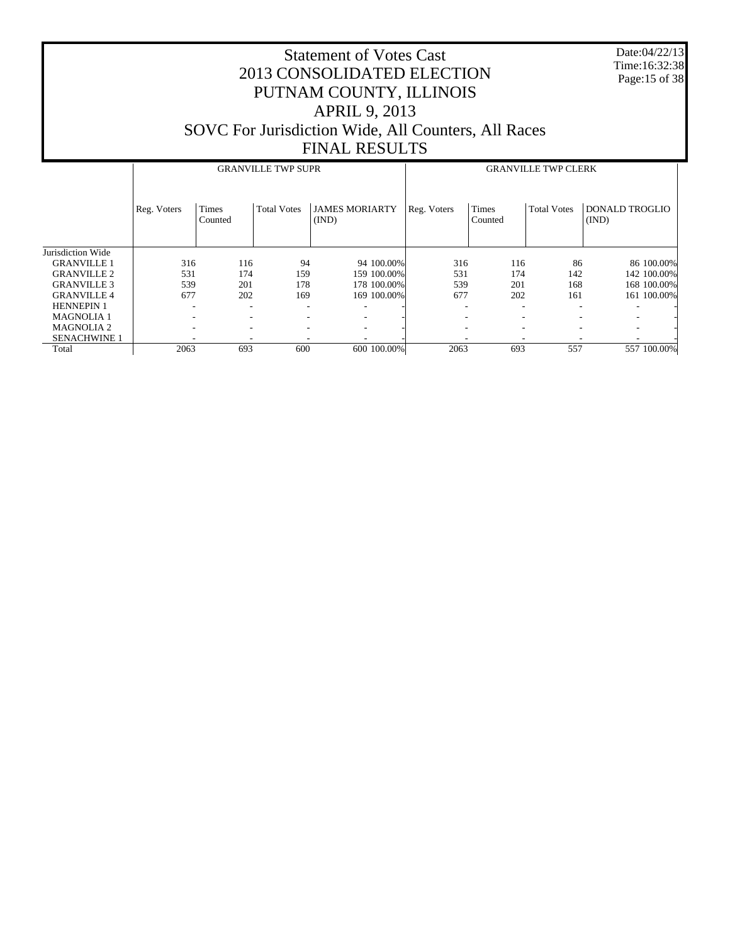Date:04/22/13 Time:16:32:38 Page:15 of 38

|                     |             |                  | <b>GRANVILLE TWP SUPR</b> |                                | <b>GRANVILLE TWP CLERK</b> |                          |                    |                                |  |
|---------------------|-------------|------------------|---------------------------|--------------------------------|----------------------------|--------------------------|--------------------|--------------------------------|--|
|                     | Reg. Voters | Times<br>Counted | <b>Total Votes</b>        | <b>JAMES MORIARTY</b><br>(IND) | Reg. Voters                | Times<br>Counted         | <b>Total Votes</b> | <b>DONALD TROGLIO</b><br>(IND) |  |
| Jurisdiction Wide   |             |                  |                           |                                |                            |                          |                    |                                |  |
| <b>GRANVILLE 1</b>  | 316         | 116              | 94                        | 94 100,00%                     | 316                        | 116                      | 86                 | 86 100.00%                     |  |
| <b>GRANVILLE 2</b>  | 531         | 174              | 159                       | 159 100.00%                    | 531                        | 174                      | 142                | 142 100.00%                    |  |
| <b>GRANVILLE 3</b>  | 539         | 201              | 178                       | 178 100.00%                    | 539                        | 201                      | 168                | 168 100.00%                    |  |
| <b>GRANVILLE 4</b>  | 677         | 202              | 169                       | 169 100.00%                    | 677                        | 202                      | 161                | 161 100.00%                    |  |
| <b>HENNEPIN 1</b>   |             | ۰                | ۰                         |                                |                            | $\overline{\phantom{a}}$ |                    |                                |  |
| <b>MAGNOLIA1</b>    |             | ۰                | $\overline{\phantom{a}}$  |                                |                            | $\overline{\phantom{a}}$ |                    |                                |  |
| <b>MAGNOLIA2</b>    |             | ۰                | $\overline{\phantom{a}}$  |                                |                            | $\overline{\phantom{a}}$ |                    |                                |  |
| <b>SENACHWINE 1</b> |             |                  |                           |                                |                            |                          |                    |                                |  |
| Total               | 2063        | 693              | 600                       | 600 100.00%                    | 2063                       | 693                      | 557                | 557 100.00%                    |  |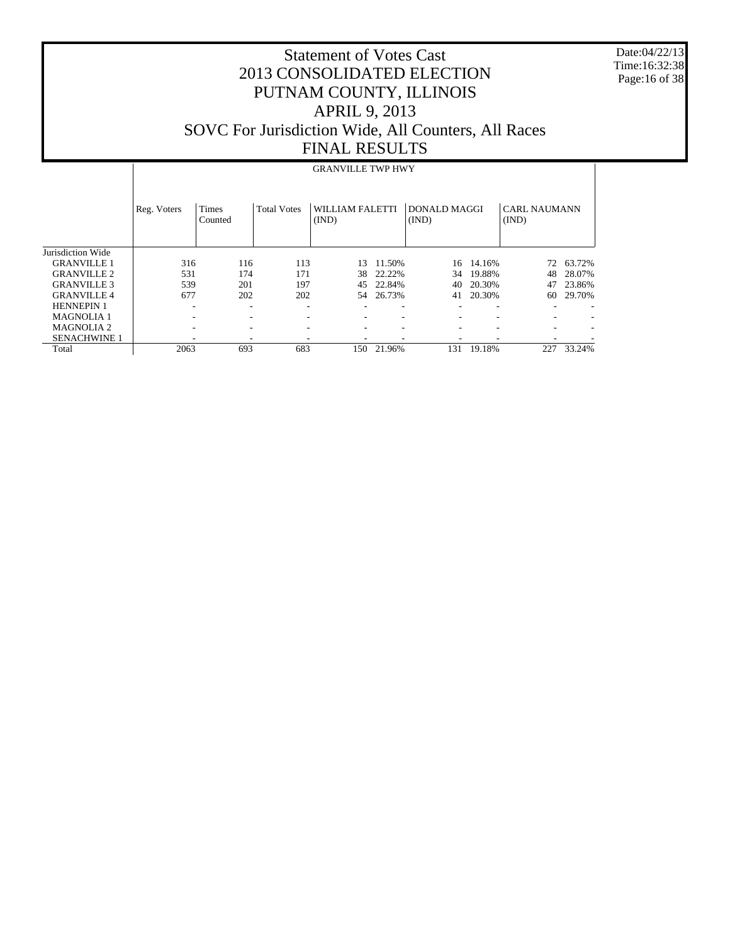Date:04/22/13 Time:16:32:38 Page:16 of 38

## Statement of Votes Cast 2013 CONSOLIDATED ELECTION PUTNAM COUNTY, ILLINOIS APRIL 9, 2013 SOVC For Jurisdiction Wide, All Counters, All Races FINAL RESULTS

# GRANVILLE TWP HWY

|                     | Reg. Voters              | Times<br>Counted         | <b>Total Votes</b>       | WILLIAM FALETTI<br>(IND) |        | DONALD MAGGI<br>(IND) |        | <b>CARL NAUMANN</b><br>(IND) |        |
|---------------------|--------------------------|--------------------------|--------------------------|--------------------------|--------|-----------------------|--------|------------------------------|--------|
| Jurisdiction Wide   |                          |                          |                          |                          |        |                       |        |                              |        |
| <b>GRANVILLE 1</b>  | 316                      | 116                      | 113                      | 13                       | 11.50% | 16                    | 14.16% | 72                           | 63.72% |
| <b>GRANVILLE 2</b>  | 531                      | 174                      | 171                      | 38                       | 22.22% | 34                    | 19.88% | 48                           | 28.07% |
| <b>GRANVILLE 3</b>  | 539                      | 201                      | 197                      | 45                       | 22.84% | 40                    | 20.30% | 47                           | 23.86% |
| <b>GRANVILLE4</b>   | 677                      | 202                      | 202                      | 54                       | 26.73% | 41                    | 20.30% | 60                           | 29.70% |
| <b>HENNEPIN 1</b>   | $\overline{\phantom{a}}$ | $\overline{\phantom{a}}$ | ٠                        |                          | -      | ۰                     | ۰      |                              |        |
| <b>MAGNOLIA1</b>    |                          | $\overline{\phantom{a}}$ | $\overline{\phantom{a}}$ |                          |        | -                     | ۰      |                              |        |
| <b>MAGNOLIA2</b>    | ۰                        | ۰                        | ۰                        |                          |        | -                     | ۰      |                              |        |
| <b>SENACHWINE 1</b> |                          | ۰                        |                          |                          |        |                       |        |                              |        |
| Total               | 2063                     | 693                      | 683                      | 150                      | 21.96% | 131                   | 19.18% | 227                          | 33.24% |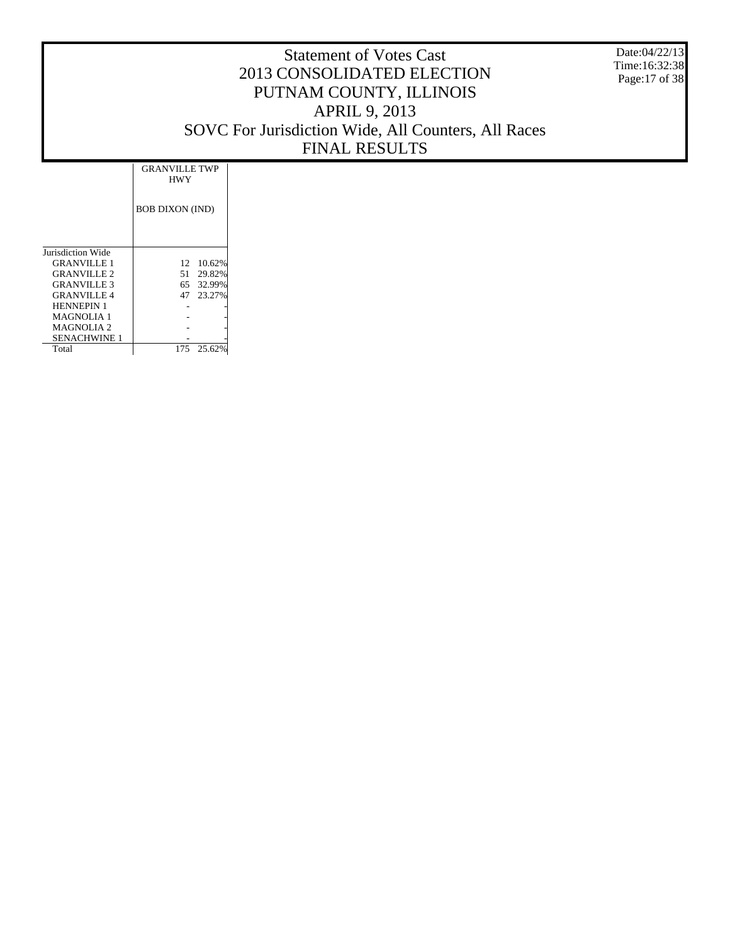Date:04/22/13 Time:16:32:38 Page:17 of 38

|                    | <b>GRANVILLE TWP</b><br><b>HWY</b> |           |
|--------------------|------------------------------------|-----------|
|                    | <b>BOB DIXON (IND)</b>             |           |
| Jurisdiction Wide  |                                    |           |
| <b>GRANVILLE 1</b> | 12                                 | 10.62%    |
| <b>GRANVILLE 2</b> | 51                                 | 29.82%    |
| <b>GRANVILLE 3</b> |                                    | 65 32.99% |
| <b>GRANVILLE 4</b> | 47                                 | 23.27%    |
| <b>HENNEPIN 1</b>  |                                    |           |
| <b>MAGNOLIA 1</b>  |                                    |           |
| MAGNOLIA 2         |                                    |           |
| SENACHWINE 1       |                                    |           |
| Total              | 175                                | 25.62%    |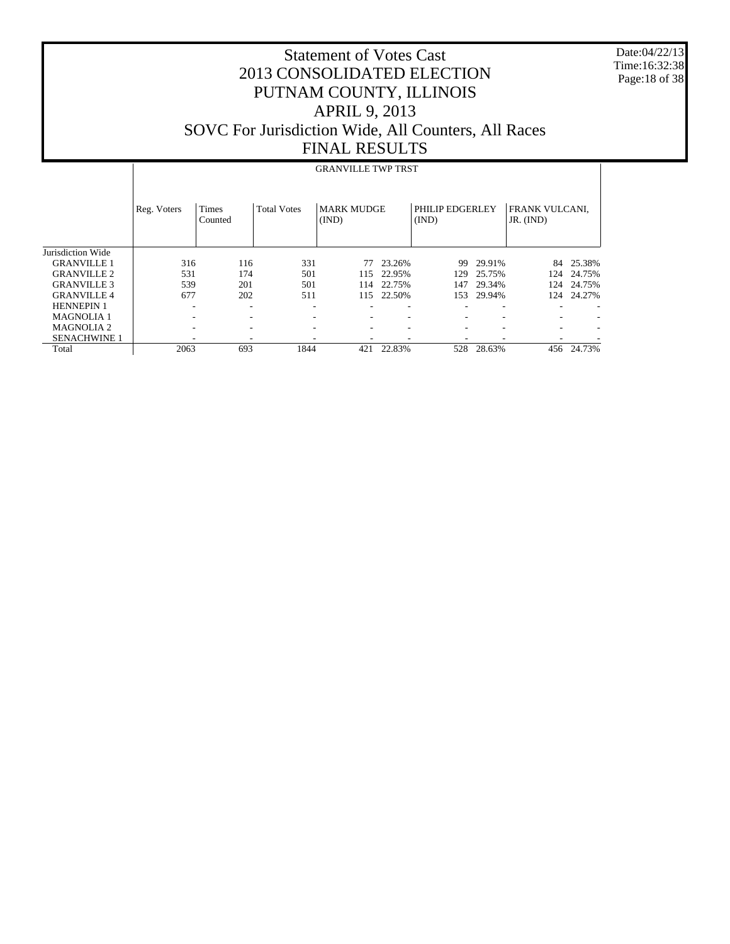Date:04/22/13 Time:16:32:38 Page:18 of 38

#### Statement of Votes Cast 2013 CONSOLIDATED ELECTION PUTNAM COUNTY, ILLINOIS APRIL 9, 2013 SOVC For Jurisdiction Wide, All Counters, All Races FINAL RESULTS

#### Jurisdiction Wide GRANVILLE 1 GRANVILLE 2 GRANVILLE 3 GRANVILLE 4 HENNEPIN 1 MAGNOLIA 1 MAGNOLIA 2 SENACHWINE 1 Total Reg. Voters | Times Counted Total Votes | MARK MUDGE (IND) PHILIP EDGERLEY (IND) FRANK VULCANI, JR. (IND) GRANVILLE TWP TRST 316 116 331 77 23.26% 99 29.91% 84 25.38%<br>531 174 501 115 22.95% 129 25.75% 124 24.75% 531 174 501 115 22.95% 129 25.75% 124 24.75% 539 201 501 114 22.75% 147 29.34% 124 24.75% 115 22.50% -  $\sim$  -  $\sim$  -  $\sim$  -  $\sim$  -  $\sim$  -  $\sim$  -  $\sim$  -  $\sim$  -  $\sim$  -  $\sim$  -  $\sim$  -  $\sim$ -  $\sim$  -  $\sim$  -  $\sim$  -  $\sim$  -  $\sim$  -  $\sim$  -  $\sim$  -  $\sim$  -  $\sim$  -  $\sim$  -  $\sim$  -  $\sim$ -  $\sim$  -  $\sim$  -  $\sim$  -  $\sim$  -  $\sim$  -  $\sim$  -  $\sim$  -  $\sim$  -  $\sim$  -  $\sim$  -  $\sim$  -  $\sim$ - - - - - - - - - 2063 693 1844 421 22.83% 528 28.63% 456 24.73%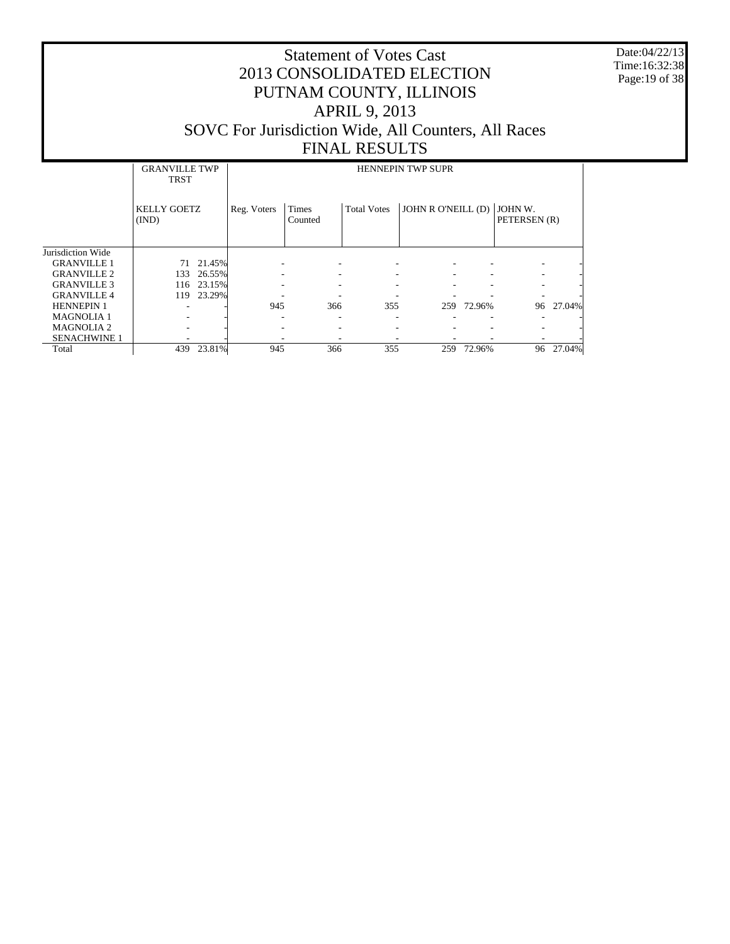Date:04/22/13 Time:16:32:38 Page:19 of 38

|                     | <b>GRANVILLE TWP</b><br><b>TRST</b> |        |             | <b>HENNEPIN TWP SUPR</b> |                    |                    |            |                         |        |  |  |
|---------------------|-------------------------------------|--------|-------------|--------------------------|--------------------|--------------------|------------|-------------------------|--------|--|--|
|                     | <b>KELLY GOETZ</b><br>(IND)         |        | Reg. Voters | Times<br>Counted         | <b>Total Votes</b> | JOHN R O'NEILL (D) |            | JOHN W.<br>PETERSEN (R) |        |  |  |
| Jurisdiction Wide   |                                     |        |             |                          |                    |                    |            |                         |        |  |  |
| <b>GRANVILLE 1</b>  | 71                                  | 21.45% |             |                          |                    |                    |            |                         |        |  |  |
| <b>GRANVILLE 2</b>  | 133                                 | 26.55% |             |                          |                    |                    |            |                         |        |  |  |
| <b>GRANVILLE 3</b>  | 116                                 | 23.15% |             |                          |                    |                    |            |                         |        |  |  |
| <b>GRANVILLE 4</b>  | 119                                 | 23.29% |             |                          |                    |                    |            |                         |        |  |  |
| <b>HENNEPIN 1</b>   |                                     |        | 945         | 366                      | 355                |                    | 259 72.96% | 96                      | 27.04% |  |  |
| <b>MAGNOLIA1</b>    |                                     |        |             |                          |                    |                    |            |                         |        |  |  |
| <b>MAGNOLIA2</b>    |                                     |        |             |                          |                    |                    |            |                         |        |  |  |
| <b>SENACHWINE 1</b> |                                     |        |             |                          |                    |                    |            |                         |        |  |  |
| Total               | 439                                 | 23.81% | 945         | 366                      | 355                | 259                | 72.96%     | 96                      | 27.04% |  |  |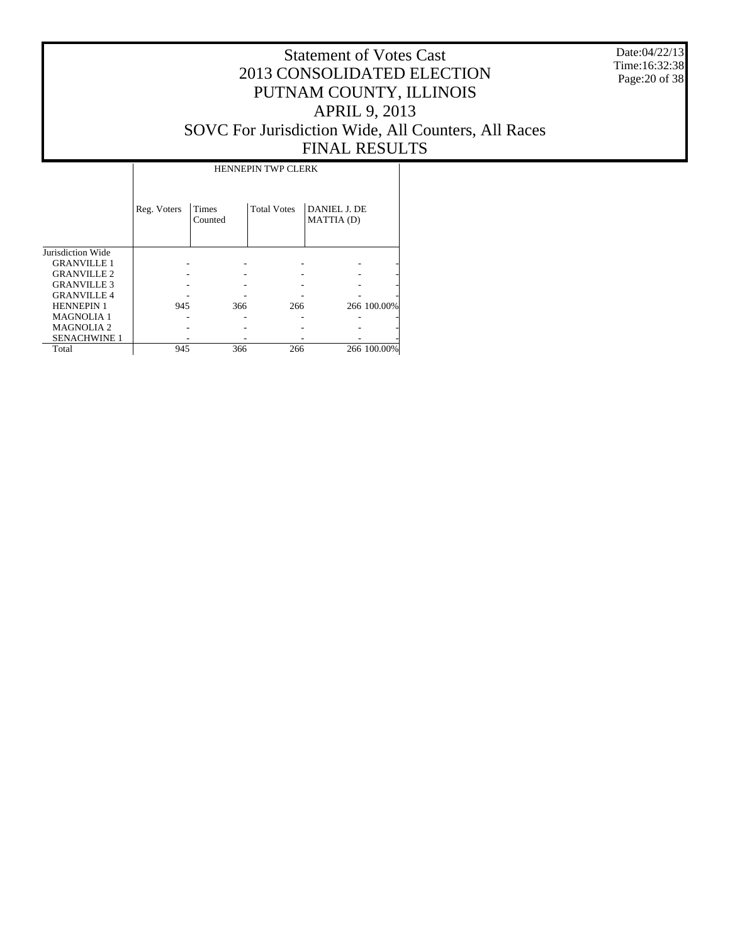Date:04/22/13 Time:16:32:38 Page:20 of 38

## Statement of Votes Cast 2013 CONSOLIDATED ELECTION PUTNAM COUNTY, ILLINOIS APRIL 9, 2013 SOVC For Jurisdiction Wide, All Counters, All Races FINAL RESULTS

|                     |             |                         | <b>HENNEPIN TWP CLERK</b> |                            |             |
|---------------------|-------------|-------------------------|---------------------------|----------------------------|-------------|
|                     | Reg. Voters | <b>Times</b><br>Counted | <b>Total Votes</b>        | DANIEL J. DE<br>MATTIA (D) |             |
| Jurisdiction Wide   |             |                         |                           |                            |             |
| <b>GRANVILLE 1</b>  |             |                         |                           |                            |             |
| <b>GRANVILLE 2</b>  |             |                         |                           |                            |             |
| <b>GRANVILLE 3</b>  |             |                         |                           |                            |             |
| <b>GRANVILLE 4</b>  |             |                         |                           |                            |             |
| <b>HENNEPIN 1</b>   | 945         | 366                     | 266                       |                            | 266 100.00% |
| <b>MAGNOLIA1</b>    |             |                         |                           |                            |             |
| <b>MAGNOLIA2</b>    |             |                         |                           |                            |             |
| <b>SENACHWINE 1</b> |             |                         |                           |                            |             |
| Total               | 945         | 366                     | 266                       |                            | 266 100.00% |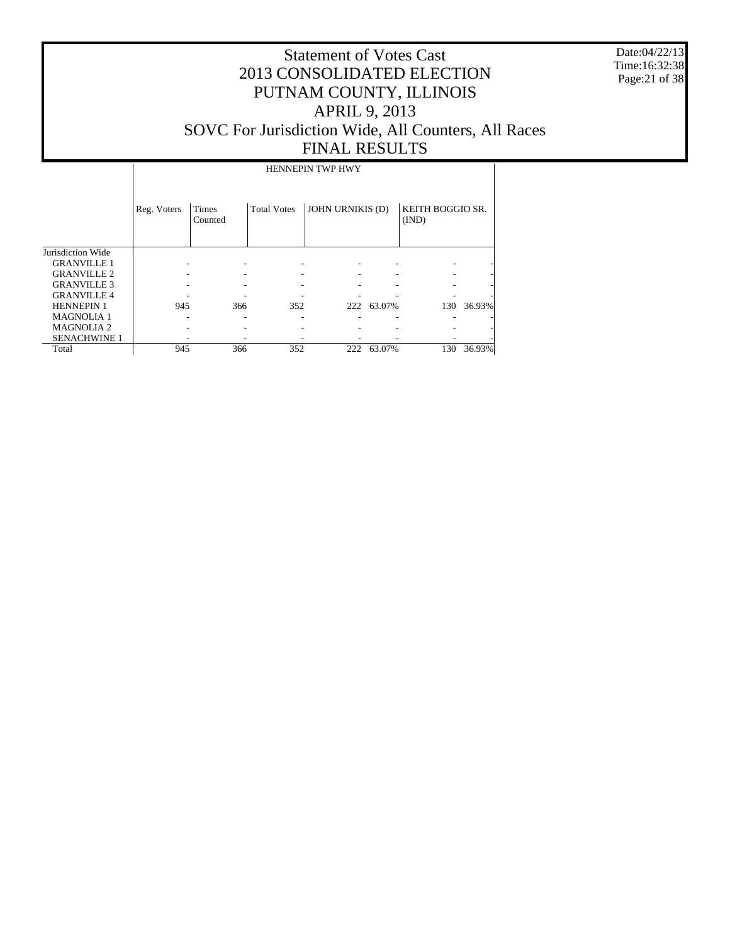Date:04/22/13 Time:16:32:38 Page:21 of 38

## Statement of Votes Cast 2013 CONSOLIDATED ELECTION PUTNAM COUNTY, ILLINOIS APRIL 9, 2013 SOVC For Jurisdiction Wide, All Counters, All Races FINAL RESULTS

HENNEPIN TWP HWY

|                     | Reg. Voters | Times<br>Counted | <b>Total Votes</b> | <b>JOHN URNIKIS (D)</b> |            | KEITH BOGGIO SR.<br>(IND) |        |
|---------------------|-------------|------------------|--------------------|-------------------------|------------|---------------------------|--------|
| Jurisdiction Wide   |             |                  |                    |                         |            |                           |        |
| <b>GRANVILLE 1</b>  |             |                  |                    |                         |            |                           |        |
| <b>GRANVILLE 2</b>  |             |                  |                    |                         |            |                           |        |
| <b>GRANVILLE 3</b>  |             |                  |                    |                         |            |                           |        |
| <b>GRANVILLE 4</b>  |             |                  |                    |                         |            |                           |        |
| <b>HENNEPIN 1</b>   | 945         | 366              | 352                |                         | 222 63.07% | 130                       | 36.93% |
| <b>MAGNOLIA 1</b>   |             |                  |                    |                         |            |                           |        |
| <b>MAGNOLIA 2</b>   |             |                  |                    |                         |            |                           |        |
| <b>SENACHWINE 1</b> |             |                  |                    |                         |            |                           |        |
| Total               | 945         | 366              | 352                | 222                     | 63.07%     | 130                       | 36.93% |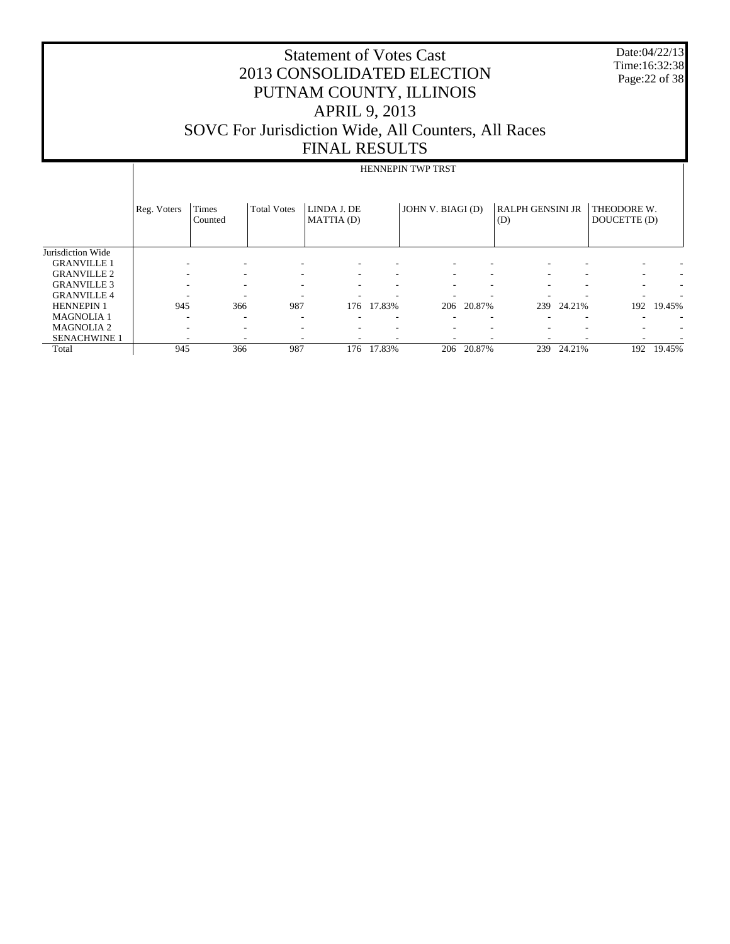| 2013 CONSOLIDATED ELECTION<br>PUTNAM COUNTY, ILLINOIS<br><b>APRIL 9, 2013</b><br>SOVC For Jurisdiction Wide, All Counters, All Races<br><b>FINAL RESULTS</b> |                          |                    |                          |  |               |                                |                   |            |                             | Date:04/22/13<br>Time:16:32:38<br>Page: 22 of 38 |
|--------------------------------------------------------------------------------------------------------------------------------------------------------------|--------------------------|--------------------|--------------------------|--|---------------|--------------------------------|-------------------|------------|-----------------------------|--------------------------------------------------|
|                                                                                                                                                              | <b>HENNEPIN TWP TRST</b> |                    |                          |  |               |                                |                   |            |                             |                                                  |
| Reg. Voters                                                                                                                                                  | Times<br>Counted         | <b>Total Votes</b> | LINDA J. DE<br>MATTIA(D) |  |               |                                | (D)               |            | THEODORE W.<br>DOUCETTE (D) |                                                  |
|                                                                                                                                                              |                          |                    |                          |  |               |                                |                   |            |                             |                                                  |
|                                                                                                                                                              |                          |                    |                          |  |               |                                |                   |            |                             |                                                  |
|                                                                                                                                                              |                          |                    |                          |  |               |                                |                   |            |                             |                                                  |
|                                                                                                                                                              |                          |                    |                          |  |               |                                |                   |            |                             |                                                  |
| 945<br>987<br>17.83%<br>366<br>176<br>20.87%<br>206<br>239                                                                                                   |                          |                    |                          |  |               |                                |                   |            | 192                         | 19.45%                                           |
|                                                                                                                                                              |                          |                    |                          |  |               |                                |                   |            |                             |                                                  |
|                                                                                                                                                              |                          |                    |                          |  |               |                                |                   |            |                             |                                                  |
|                                                                                                                                                              |                          |                    |                          |  |               |                                |                   |            |                             | 19.45%                                           |
|                                                                                                                                                              |                          | 945                | 987<br>366               |  | 176<br>17.83% | <b>Statement of Votes Cast</b> | JOHN V. BIAGI (D) | 206 20.87% | <b>RALPH GENSINI JR</b>     | 24.21%<br>239 24.21%<br>192                      |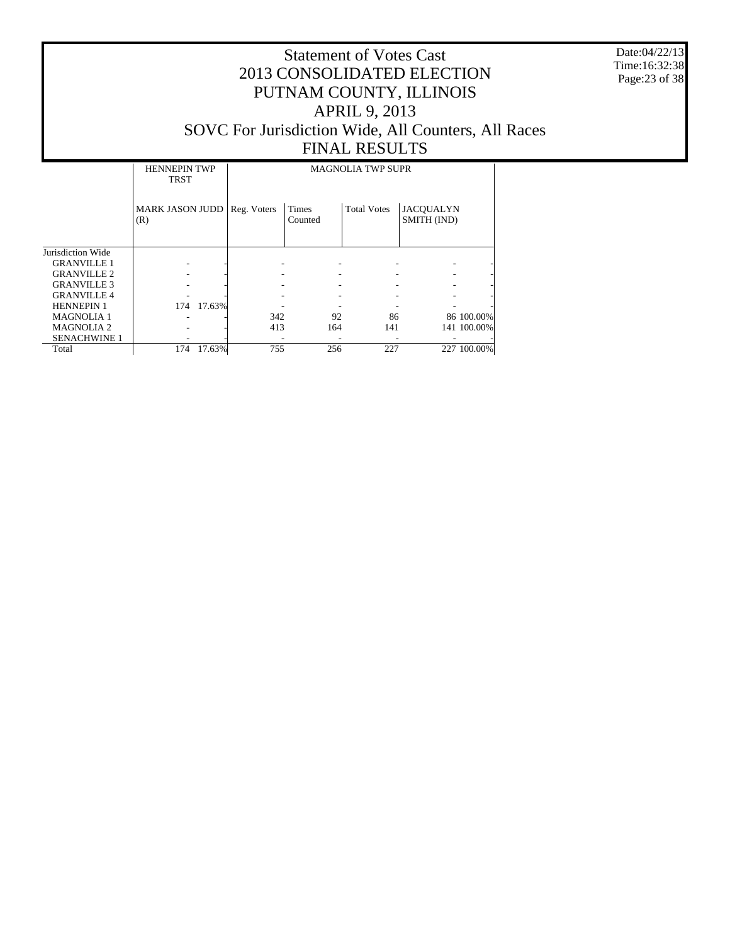Date:04/22/13 Time:16:32:38 Page:23 of 38

|                     | <b>HENNEPIN TWP</b><br><b>TRST</b> |        |             |                  | <b>MAGNOLIA TWP SUPR</b> |                                 |             |
|---------------------|------------------------------------|--------|-------------|------------------|--------------------------|---------------------------------|-------------|
|                     | <b>MARK JASON JUDD</b><br>(R)      |        | Reg. Voters | Times<br>Counted | <b>Total Votes</b>       | <b>JACOUALYN</b><br>SMITH (IND) |             |
| Jurisdiction Wide   |                                    |        |             |                  |                          |                                 |             |
| <b>GRANVILLE 1</b>  |                                    |        |             |                  |                          |                                 |             |
| <b>GRANVILLE 2</b>  |                                    |        |             |                  |                          |                                 |             |
| <b>GRANVILLE 3</b>  |                                    |        |             |                  |                          |                                 |             |
| <b>GRANVILLE 4</b>  |                                    |        |             |                  |                          |                                 |             |
| <b>HENNEPIN 1</b>   | 174                                | 17.63% |             |                  |                          |                                 |             |
| <b>MAGNOLIA1</b>    |                                    |        | 342         | 92               | 86                       |                                 | 86 100.00%  |
| <b>MAGNOLIA2</b>    |                                    |        | 413         | 164              | 141                      |                                 | 141 100.00% |
| <b>SENACHWINE 1</b> |                                    |        |             |                  |                          |                                 |             |
| Total               | 174                                | 17.63% | 755         | 256              | 227                      |                                 | 227 100.00% |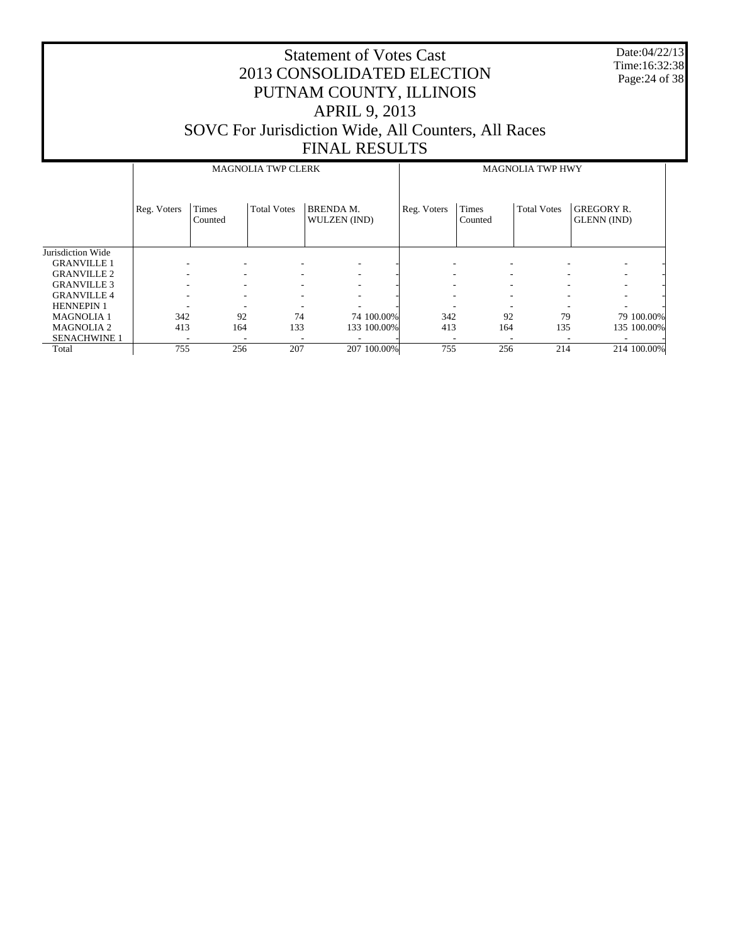Date:04/22/13 Time:16:32:38 Page:24 of 38

|                     |                          |                          | <b>MAGNOLIA TWP CLERK</b> |                                  | <b>MAGNOLIA TWP HWY</b> |                  |                    |                                  |            |  |
|---------------------|--------------------------|--------------------------|---------------------------|----------------------------------|-------------------------|------------------|--------------------|----------------------------------|------------|--|
|                     | Reg. Voters              | Times<br>Counted         | <b>Total Votes</b>        | <b>BRENDA M.</b><br>WULZEN (IND) | Reg. Voters             | Times<br>Counted | <b>Total Votes</b> | <b>GREGORY R.</b><br>GLENN (IND) |            |  |
| Jurisdiction Wide   |                          |                          |                           |                                  |                         |                  |                    |                                  |            |  |
| <b>GRANVILLE 1</b>  |                          |                          |                           |                                  |                         |                  |                    |                                  |            |  |
| <b>GRANVILLE 2</b>  | ۰                        | ۰                        |                           |                                  |                         |                  |                    | -                                |            |  |
| <b>GRANVILLE 3</b>  | -                        | ٠                        | ٠                         | ۰                                |                         | ٠<br>٠           |                    | $\overline{\phantom{a}}$         |            |  |
| <b>GRANVILLE 4</b>  | $\overline{\phantom{a}}$ | ۰.                       | ۰                         |                                  |                         |                  |                    | $\overline{\phantom{a}}$         |            |  |
| <b>HENNEPIN 1</b>   | ٠                        | $\overline{\phantom{a}}$ |                           |                                  |                         |                  | ٠                  | $\overline{\phantom{a}}$         |            |  |
| <b>MAGNOLIA1</b>    | 342                      | 92                       | 74                        | 74 100,00%                       | 342                     | 92               | 79                 |                                  | 79 100.00% |  |
| <b>MAGNOLIA2</b>    | 413                      | 164                      | 133                       | 133 100.00%                      | 413                     | 164              | 135                | 135 100.00%                      |            |  |
| <b>SENACHWINE 1</b> |                          |                          |                           |                                  |                         |                  |                    |                                  |            |  |
| Total               | 755                      | 256                      | 207                       | 207 100.00%                      | 755                     | 256              | 214                | 214 100.00%                      |            |  |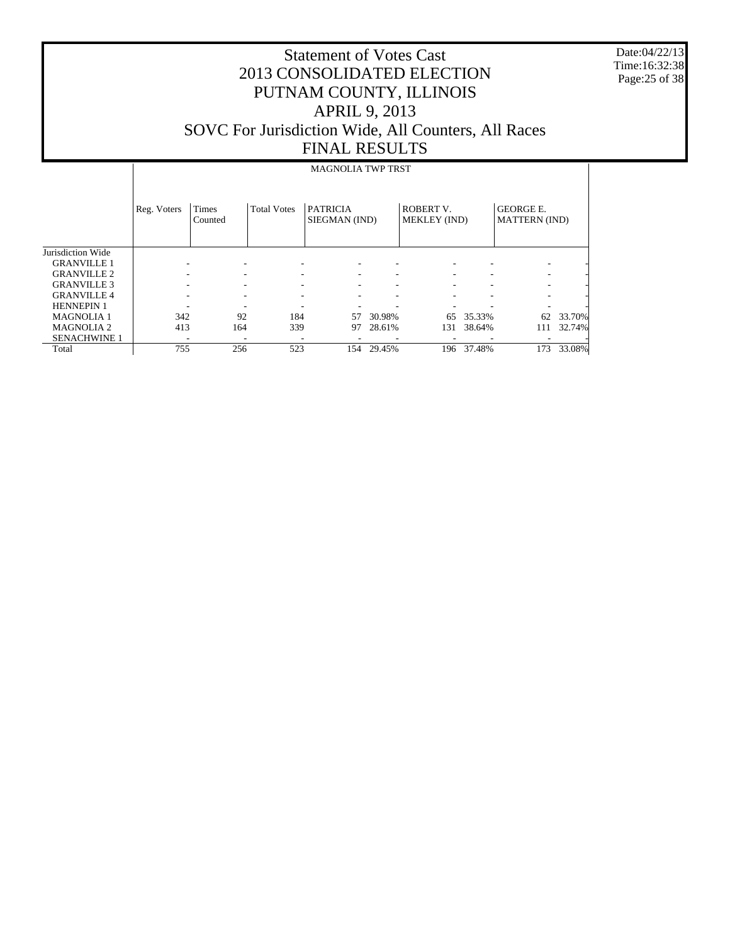Date:04/22/13 Time:16:32:38 Page:25 of 38

#### Statement of Votes Cast 2013 CONSOLIDATED ELECTION PUTNAM COUNTY, ILLINOIS APRIL 9, 2013 SOVC For Jurisdiction Wide, All Counters, All Races FINAL RESULTS

#### MAGNOLIA TWP TRST

|                     | Reg. Voters | Times<br>Counted | <b>Total Votes</b> | <b>PATRICIA</b><br>SIEGMAN (IND) |        | ROBERT V.<br><b>MEKLEY (IND)</b> |        | <b>GEORGE E.</b><br><b>MATTERN</b> (IND) |        |
|---------------------|-------------|------------------|--------------------|----------------------------------|--------|----------------------------------|--------|------------------------------------------|--------|
| Jurisdiction Wide   |             |                  |                    |                                  |        |                                  |        |                                          |        |
| <b>GRANVILLE 1</b>  |             |                  |                    |                                  |        |                                  |        |                                          |        |
| <b>GRANVILLE 2</b>  |             |                  |                    | ۰                                |        | ٠                                | ۰      | ۰                                        |        |
| <b>GRANVILLE 3</b>  |             |                  |                    |                                  |        | $\overline{\phantom{a}}$         | ۰      |                                          |        |
| <b>GRANVILLE 4</b>  |             |                  |                    |                                  |        | $\overline{\phantom{a}}$         | -      |                                          |        |
| <b>HENNEPIN 1</b>   |             |                  |                    |                                  |        |                                  |        |                                          |        |
| <b>MAGNOLIA 1</b>   | 342         | 92               | 184                | 57                               | 30.98% | 65                               | 35.33% | 62                                       | 33.70% |
| <b>MAGNOLIA 2</b>   | 413         | 164              | 339                | 97                               | 28.61% | 131                              | 38.64% | 111                                      | 32.74% |
| <b>SENACHWINE 1</b> | ۰           |                  |                    |                                  |        |                                  |        |                                          |        |
| Total               | 755         | 256              | 523                | 154                              | 29.45% | 196                              | 37.48% | 173                                      | 33.08% |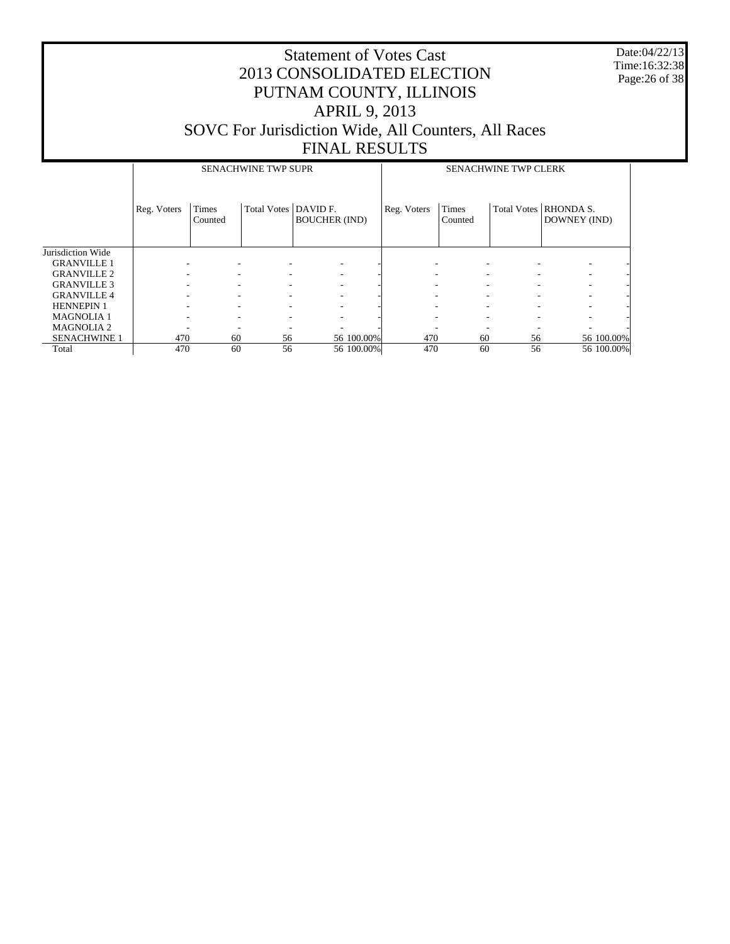Date:04/22/13 Time:16:32:38 Page:26 of 38

|                     |                          |                          | <b>SENACHWINE TWP SUPR</b> |                          | <b>SENACHWINE TWP CLERK</b> |                  |                                |                                  |            |
|---------------------|--------------------------|--------------------------|----------------------------|--------------------------|-----------------------------|------------------|--------------------------------|----------------------------------|------------|
|                     | Reg. Voters              | Times<br>Counted         | Total Votes   DAVID F.     | <b>BOUCHER (IND)</b>     | Reg. Voters                 | Times<br>Counted | <b>Total Votes</b>             | <b>RHONDA S.</b><br>DOWNEY (IND) |            |
| Jurisdiction Wide   |                          |                          |                            |                          |                             |                  |                                |                                  |            |
| <b>GRANVILLE 1</b>  |                          |                          |                            | ٠                        |                             |                  |                                |                                  |            |
| <b>GRANVILLE 2</b>  |                          |                          |                            | $\overline{\phantom{a}}$ |                             |                  | $\overline{\phantom{a}}$       | ۰.                               |            |
| <b>GRANVILLE 3</b>  |                          |                          |                            | $\overline{\phantom{a}}$ |                             | ۰                | $\overline{\phantom{a}}$       | ٠                                |            |
| <b>GRANVILLE4</b>   | ۰                        | $\overline{\phantom{a}}$ | $\overline{\phantom{a}}$   | $\overline{\phantom{a}}$ |                             | ۰                | ٠<br>۰                         | ٠                                |            |
| <b>HENNEPIN 1</b>   | $\overline{\phantom{a}}$ | $\overline{\phantom{a}}$ | $\overline{\phantom{a}}$   | $\overline{\phantom{a}}$ |                             | ۰                | $\overline{\phantom{a}}$<br>٠. | ۰                                |            |
| <b>MAGNOLIA 1</b>   |                          |                          |                            | ۰                        |                             |                  | $\overline{\phantom{a}}$       | ۰.                               |            |
| <b>MAGNOLIA 2</b>   |                          |                          |                            |                          |                             |                  |                                |                                  |            |
| <b>SENACHWINE 1</b> | 470                      | 60                       | 56                         | 56 100.00%               | 470                         | 60               | 56                             |                                  | 56 100.00% |
| Total               | 470                      | 60                       | 56                         | 56 100.00%               | 470                         | 60               | 56                             |                                  | 56 100.00% |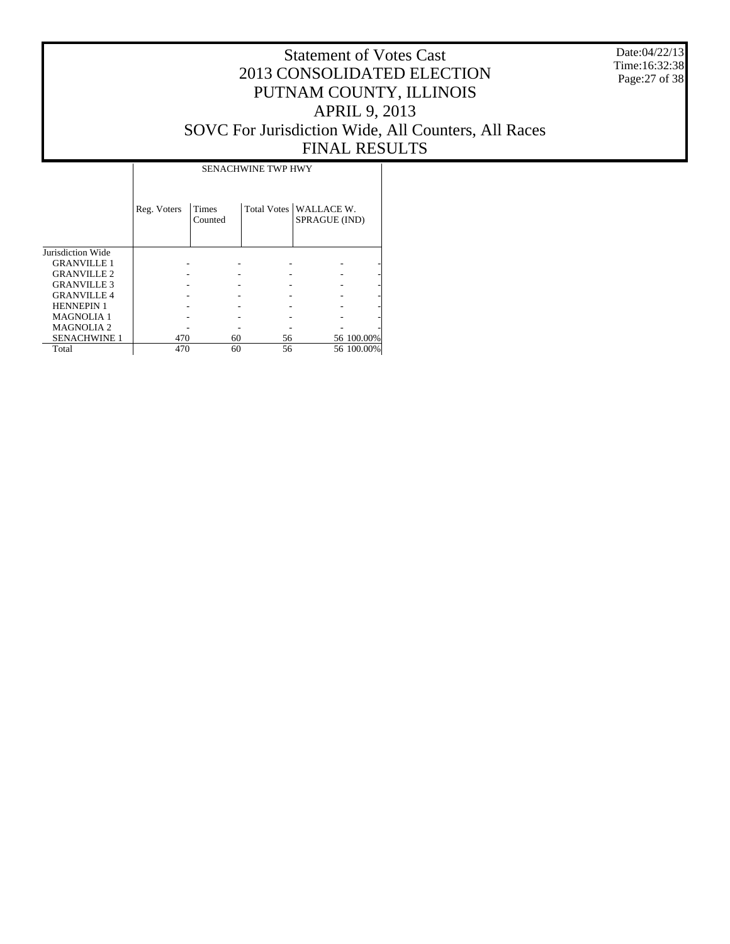Date:04/22/13 Time:16:32:38 Page:27 of 38

#### Statement of Votes Cast 2013 CONSOLIDATED ELECTION PUTNAM COUNTY, ILLINOIS APRIL 9, 2013 SOVC For Jurisdiction Wide, All Counters, All Races FINAL RESULTS

Τ

|                     |             |                  | <b>SENACHWINE TWP HWY</b> |                                           |            |
|---------------------|-------------|------------------|---------------------------|-------------------------------------------|------------|
|                     | Reg. Voters | Times<br>Counted |                           | Total Votes   WALLACE W.<br>SPRAGUE (IND) |            |
| Jurisdiction Wide   |             |                  |                           |                                           |            |
| <b>GRANVILLE 1</b>  |             |                  |                           |                                           |            |
| <b>GRANVILLE 2</b>  |             |                  |                           |                                           |            |
| <b>GRANVILLE 3</b>  |             |                  |                           |                                           |            |
| <b>GRANVILLE 4</b>  |             |                  |                           |                                           |            |
| <b>HENNEPIN 1</b>   |             |                  |                           |                                           |            |
| <b>MAGNOLIA1</b>    |             |                  |                           |                                           |            |
| <b>MAGNOLIA2</b>    |             |                  |                           |                                           |            |
| <b>SENACHWINE 1</b> | 470         | 60               | 56                        |                                           | 56 100.00% |
| Total               | 470         | 60               | 56                        |                                           | 56 100,00% |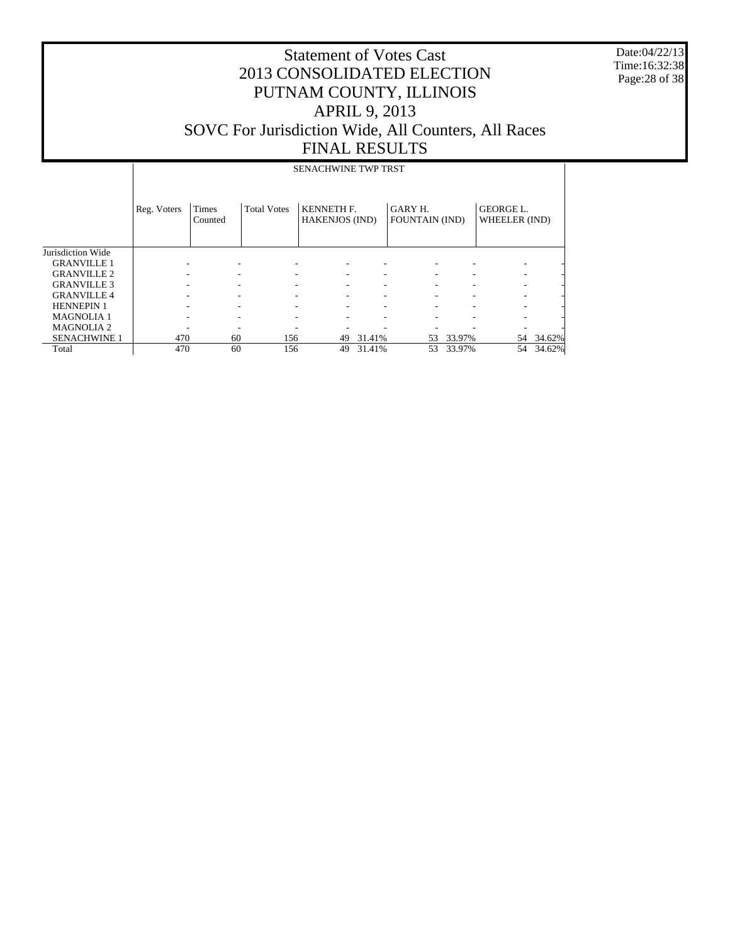Date:04/22/13 Time:16:32:38 Page:28 of 38

|                     |             |                         |                    | <b>SENACHWINE TWP TRST</b>                 |        |                                  |        |                                   |           |
|---------------------|-------------|-------------------------|--------------------|--------------------------------------------|--------|----------------------------------|--------|-----------------------------------|-----------|
|                     | Reg. Voters | <b>Times</b><br>Counted | <b>Total Votes</b> | <b>KENNETH F.</b><br><b>HAKENJOS (IND)</b> |        | GARY H.<br><b>FOUNTAIN (IND)</b> |        | <b>GEORGE L.</b><br>WHEELER (IND) |           |
| Jurisdiction Wide   |             |                         |                    |                                            |        |                                  |        |                                   |           |
| <b>GRANVILLE 1</b>  |             |                         |                    |                                            |        |                                  |        |                                   |           |
| <b>GRANVILLE 2</b>  |             |                         |                    |                                            |        |                                  |        |                                   |           |
| <b>GRANVILLE 3</b>  |             |                         |                    |                                            |        |                                  |        |                                   |           |
| <b>GRANVILLE4</b>   |             |                         |                    |                                            | ٠      |                                  |        |                                   |           |
| <b>HENNEPIN 1</b>   |             |                         |                    |                                            | ٠      |                                  |        |                                   |           |
| <b>MAGNOLIA1</b>    |             |                         |                    |                                            | ۰      |                                  |        |                                   |           |
| <b>MAGNOLIA2</b>    |             |                         |                    |                                            |        |                                  |        |                                   |           |
| <b>SENACHWINE 1</b> | 470         | 60                      | 156                | 49                                         | 31.41% | 53                               | 33.97% |                                   | 54 34.62% |
| Total               | 470         | 60                      | 156                | 49                                         | 31.41% | 53                               | 33.97% | 54                                | 34.62%    |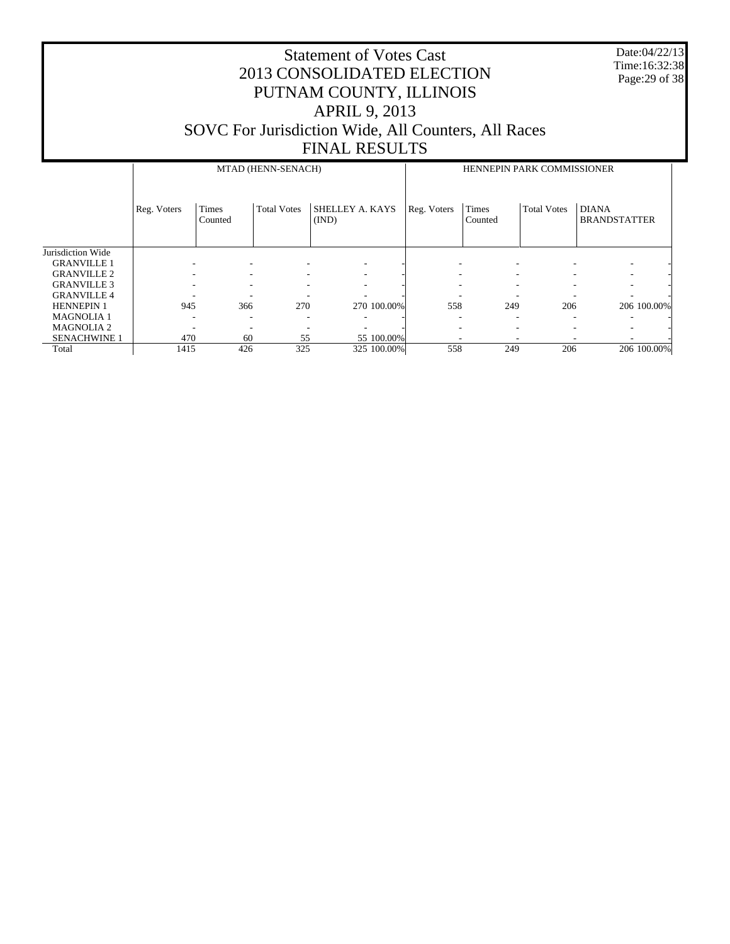|                                         | <b>Statement of Votes Cast</b><br>2013 CONSOLIDATED ELECTION<br>PUTNAM COUNTY, ILLINOIS<br><b>APRIL 9, 2013</b><br>SOVC For Jurisdiction Wide, All Counters, All Races<br><b>FINAL RESULTS</b> |                         |                    |                          |             |                         |                    |                                     |  |  |  |
|-----------------------------------------|------------------------------------------------------------------------------------------------------------------------------------------------------------------------------------------------|-------------------------|--------------------|--------------------------|-------------|-------------------------|--------------------|-------------------------------------|--|--|--|
|                                         | MTAD (HENN-SENACH)<br>HENNEPIN PARK COMMISSIONER                                                                                                                                               |                         |                    |                          |             |                         |                    |                                     |  |  |  |
|                                         | Reg. Voters                                                                                                                                                                                    | <b>Times</b><br>Counted | <b>Total Votes</b> | SHELLEY A. KAYS<br>(IND) | Reg. Voters | <b>Times</b><br>Counted | <b>Total Votes</b> | <b>DIANA</b><br><b>BRANDSTATTER</b> |  |  |  |
| Jurisdiction Wide                       |                                                                                                                                                                                                |                         |                    |                          |             |                         |                    |                                     |  |  |  |
| <b>GRANVILLE 1</b>                      |                                                                                                                                                                                                |                         |                    |                          |             |                         |                    |                                     |  |  |  |
| <b>GRANVILLE 2</b>                      |                                                                                                                                                                                                |                         |                    |                          |             |                         |                    |                                     |  |  |  |
| <b>GRANVILLE 3</b>                      |                                                                                                                                                                                                |                         |                    |                          |             |                         |                    |                                     |  |  |  |
| <b>GRANVILLE 4</b><br><b>HENNEPIN 1</b> | 945                                                                                                                                                                                            | 366<br>206              |                    |                          |             |                         |                    |                                     |  |  |  |
| <b>MAGNOLIA1</b>                        |                                                                                                                                                                                                |                         | 270                | 270 100.00%              | 558         | 249                     |                    | 206 100.00%                         |  |  |  |
| <b>MAGNOLIA2</b>                        |                                                                                                                                                                                                |                         |                    |                          |             |                         |                    |                                     |  |  |  |
| <b>SENACHWINE 1</b>                     | 470                                                                                                                                                                                            | 60                      | 55                 | 55 100.00%               |             |                         |                    |                                     |  |  |  |
| Total                                   | 1415                                                                                                                                                                                           | 426                     | 325                | 325 100.00%              | 558         | 249                     | 206                | 206 100.00%                         |  |  |  |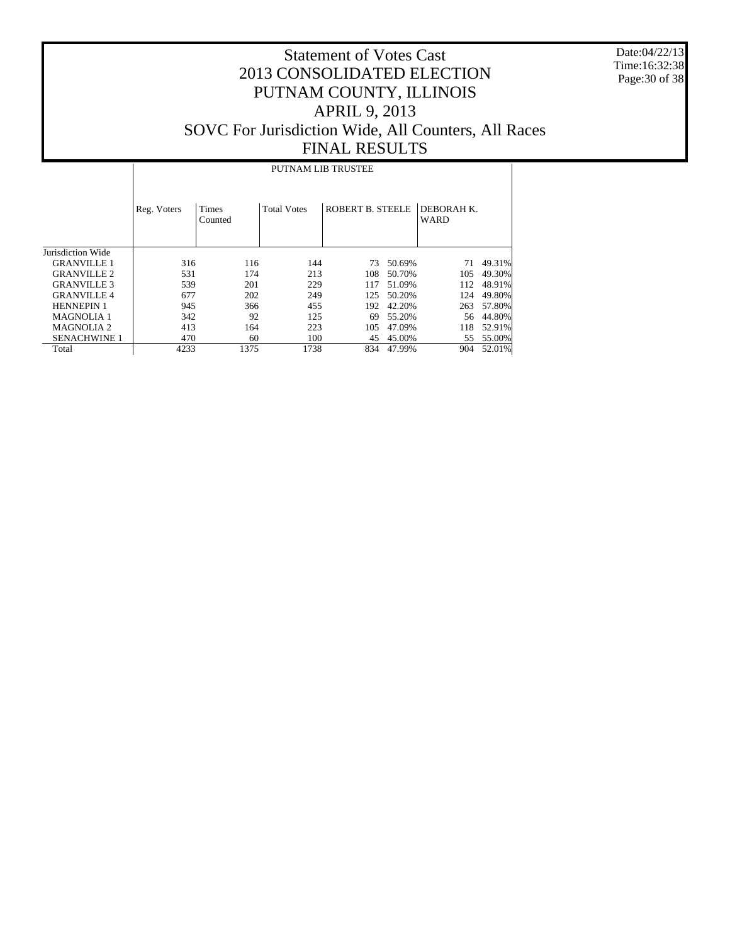Date:04/22/13 Time:16:32:38 Page:30 of 38

#### Statement of Votes Cast 2013 CONSOLIDATED ELECTION PUTNAM COUNTY, ILLINOIS APRIL 9, 2013 SOVC For Jurisdiction Wide, All Counters, All Races FINAL RESULTS

Jurisdiction Wide GRANVILLE 1 GRANVILLE 2 GRANVILLE 3 GRANVILLE 4 HENNEPIN 1 MAGNOLIA 1 MAGNOLIA 2 SENACHWINE 1 Total Reg. Voters | Times Counted Total Votes | ROBERT B. STEELE | DEBORAH K. WARD PUTNAM LIB TRUSTEE 316 116 144 73 50.69% 71 49.31%<br>531 174 213 108 50.70% 105 49.30% 531 174 213 108 50.70% 105 49.30%<br>539 201 229 117 51.09% 112 48.91% 539 201 229 117 51.09% 112 48.91% 677 202 249 125 50.20%<br>945 366 455 192 42.20% 945 366 455 192 42.20% 263 57.80%<br>342 92 125 69 55.20% 56 44.80% 342 92 125 69 55.20% 56 44.80% 413 164 223 105 47.09% 118 52.91%<br>470 60 100 45 45.00% 55 55.00%  $\begin{array}{ccccccccc} 470 & & & & 60 & & & 100 & & & 45 & 45.00\% & & & & 55 & 55.00\% \\ 4233 & & & & 1375 & & & 1738 & & & 834 & 47.99\% & & & 904 & 52.01\% \end{array}$ 834 47.99%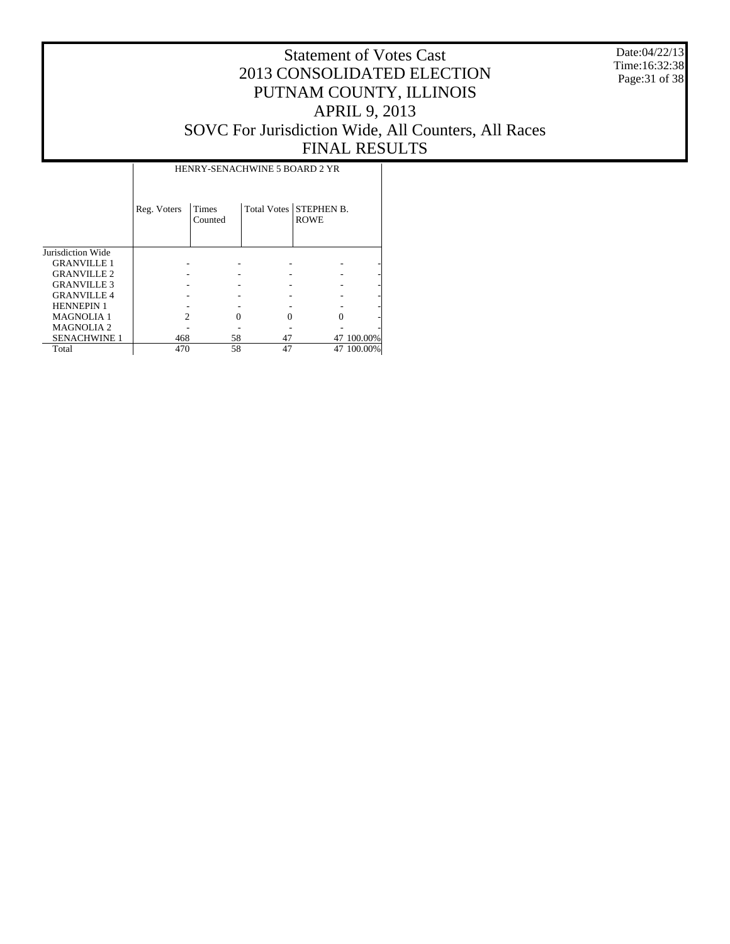Date:04/22/13 Time:16:32:38 Page:31 of 38

#### Statement of Votes Cast 2013 CONSOLIDATED ELECTION PUTNAM COUNTY, ILLINOIS APRIL 9, 2013 SOVC For Jurisdiction Wide, All Counters, All Races FINAL RESULTS

Τ

|                     |             | HENRY-SENACHWINE 5 BOARD 2 YR |    |                                       |            |
|---------------------|-------------|-------------------------------|----|---------------------------------------|------------|
|                     | Reg. Voters | Times<br>Counted              |    | Total Votes STEPHEN B.<br><b>ROWE</b> |            |
| Jurisdiction Wide   |             |                               |    |                                       |            |
| <b>GRANVILLE 1</b>  |             |                               |    |                                       |            |
| <b>GRANVILLE 2</b>  |             |                               |    |                                       |            |
| <b>GRANVILLE 3</b>  |             |                               |    |                                       |            |
| <b>GRANVILLE 4</b>  |             |                               |    |                                       |            |
| <b>HENNEPIN 1</b>   |             |                               |    |                                       |            |
| <b>MAGNOLIA1</b>    | 2           |                               |    |                                       |            |
| <b>MAGNOLIA2</b>    |             |                               |    |                                       |            |
| <b>SENACHWINE 1</b> | 468         | 58                            | 47 |                                       | 47 100,00% |
| Total               | 470         | 58                            | 47 | 47                                    | 100.00%    |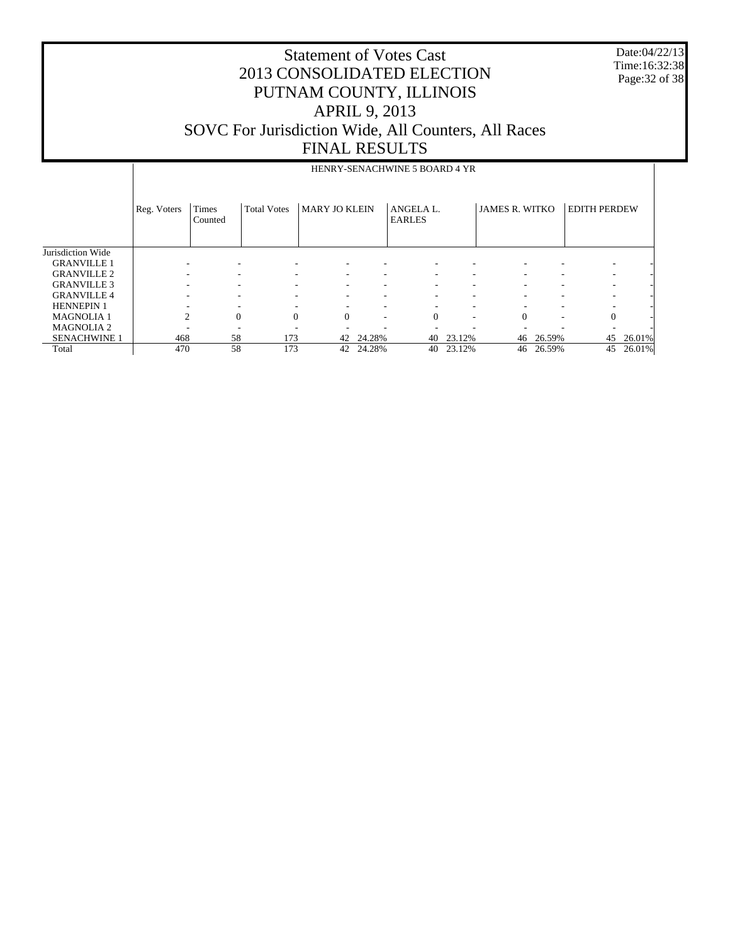Date:04/22/13 Time:16:32:38 Page:32 of 38

| HENRY-SENACHWINE 5 BOARD 4 YR |
|-------------------------------|

|                     | Reg. Voters    | Times<br>Counted         | <b>Total Votes</b>       | <b>MARY JO KLEIN</b> |        | ANGELA L.<br><b>EARLES</b> |        | <b>JAMES R. WITKO</b>    |                          | <b>EDITH PERDEW</b>      |        |
|---------------------|----------------|--------------------------|--------------------------|----------------------|--------|----------------------------|--------|--------------------------|--------------------------|--------------------------|--------|
| Jurisdiction Wide   |                |                          |                          |                      |        |                            |        |                          |                          |                          |        |
| <b>GRANVILLE 1</b>  |                | $\overline{\phantom{a}}$ |                          | ۰                    |        |                            |        |                          |                          | ۰                        |        |
| <b>GRANVILLE 2</b>  |                | $\overline{\phantom{a}}$ | $\overline{\phantom{a}}$ | $\sim$               | ۰      | ۰                          |        | $\overline{\phantom{a}}$ | $\overline{\phantom{a}}$ | ۰                        |        |
| <b>GRANVILLE 3</b>  |                | ۰                        | $\overline{\phantom{a}}$ | ۰                    | ۰      | ۰                          |        |                          | $\overline{\phantom{a}}$ | ۰                        |        |
| <b>GRANVILLE 4</b>  |                | -                        |                          | ۰                    |        |                            |        |                          | $\overline{\phantom{a}}$ |                          |        |
| <b>HENNEPIN 1</b>   |                | -                        |                          | ۰                    |        |                            |        |                          | $\overline{\phantom{a}}$ |                          |        |
| <b>MAGNOLIA 1</b>   | $\mathfrak{D}$ | $\Omega$                 | $\Omega$                 | $\Omega$             | ۰      | $\Omega$                   |        |                          | $\overline{\phantom{a}}$ | $\mathbf{0}$             |        |
| <b>MAGNOLIA 2</b>   |                |                          | -                        | ۰                    |        |                            |        |                          |                          | $\overline{\phantom{a}}$ |        |
| <b>SENACHWINE 1</b> | 468            | 58                       | 173                      | 42                   | 24.28% | 40                         | 23.12% | 46                       | 26.59%                   | 45                       | 26.01% |
| Total               | 470            | 58                       | 173                      | 42                   | 24.28% | 40                         | 23.12% | 46                       | 26.59%                   | 45                       | 26.01% |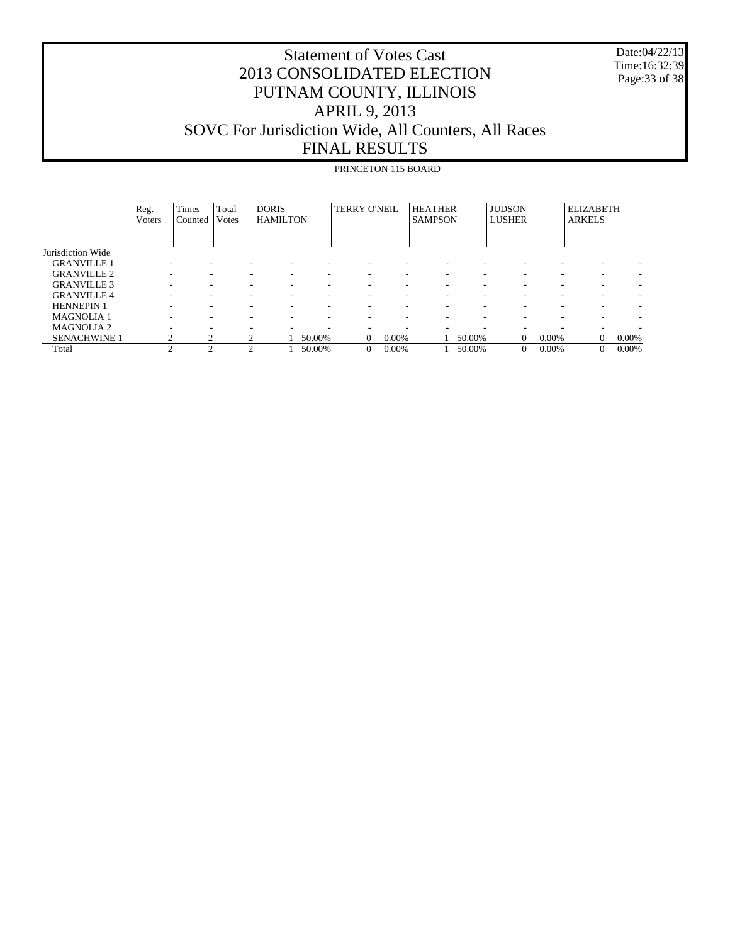Date:04/22/13 Time:16:32:39 Page:33 of 38

|                     |                | PRINCETON 115 BOARD     |                |                                 |        |                          |          |                                  |                          |                                |       |                                   |       |
|---------------------|----------------|-------------------------|----------------|---------------------------------|--------|--------------------------|----------|----------------------------------|--------------------------|--------------------------------|-------|-----------------------------------|-------|
|                     | Reg.<br>Voters | <b>Times</b><br>Counted | Total<br>Votes | <b>DORIS</b><br><b>HAMILTON</b> |        | <b>TERRY O'NEIL</b>      |          | <b>HEATHER</b><br><b>SAMPSON</b> |                          | <b>JUDSON</b><br><b>LUSHER</b> |       | <b>ELIZABETH</b><br><b>ARKELS</b> |       |
| Jurisdiction Wide   |                |                         |                |                                 |        |                          |          |                                  |                          |                                |       |                                   |       |
| <b>GRANVILLE 1</b>  |                |                         |                |                                 |        | ٠                        |          |                                  |                          |                                |       |                                   |       |
| <b>GRANVILLE 2</b>  |                |                         |                |                                 | ۰      | ۰                        |          |                                  |                          |                                |       | ۰.                                |       |
| <b>GRANVILLE 3</b>  |                |                         |                | -                               | ۰      | ٠                        |          | ۰                                |                          | -                              |       | ۰                                 |       |
| <b>GRANVILLE4</b>   |                | ۰                       | ۰              | ۰                               | ۰      | $\sim$                   | ۰.       | ۰.                               | $\overline{\phantom{a}}$ | ۰                              | ۰     | ۰.                                |       |
| <b>HENNEPIN 1</b>   |                | ۰                       | ۰              | ۰                               | ٠      | $\overline{\phantom{a}}$ | ۰.       | ۰.                               | $\overline{\phantom{a}}$ | ۰                              | ۰     | ۰.                                |       |
| <b>MAGNOLIA1</b>    |                | ۰                       |                | -                               | ۰      | $\overline{\phantom{a}}$ | ۰.       |                                  | $\overline{\phantom{a}}$ | ۰                              | ۰     | ۰.                                |       |
| <b>MAGNOLIA 2</b>   |                | ٠                       |                | -                               | ۰      | ٠                        |          | ٠                                |                          |                                |       | ٠                                 |       |
| <b>SENACHWINE 1</b> | $\overline{c}$ | 2                       |                |                                 | 50.00% | $\overline{0}$           | $0.00\%$ |                                  | 50.00%                   | $\Omega$                       | 0.00% | $\Omega$                          | 0.00% |
| Total               | $\overline{c}$ | $\overline{2}$          | $\overline{c}$ |                                 | 50.00% | $\overline{0}$           | $0.00\%$ |                                  | 50.00%                   | $\mathbf{0}$                   | 0.00% | $\mathbf{0}$                      | 0.00% |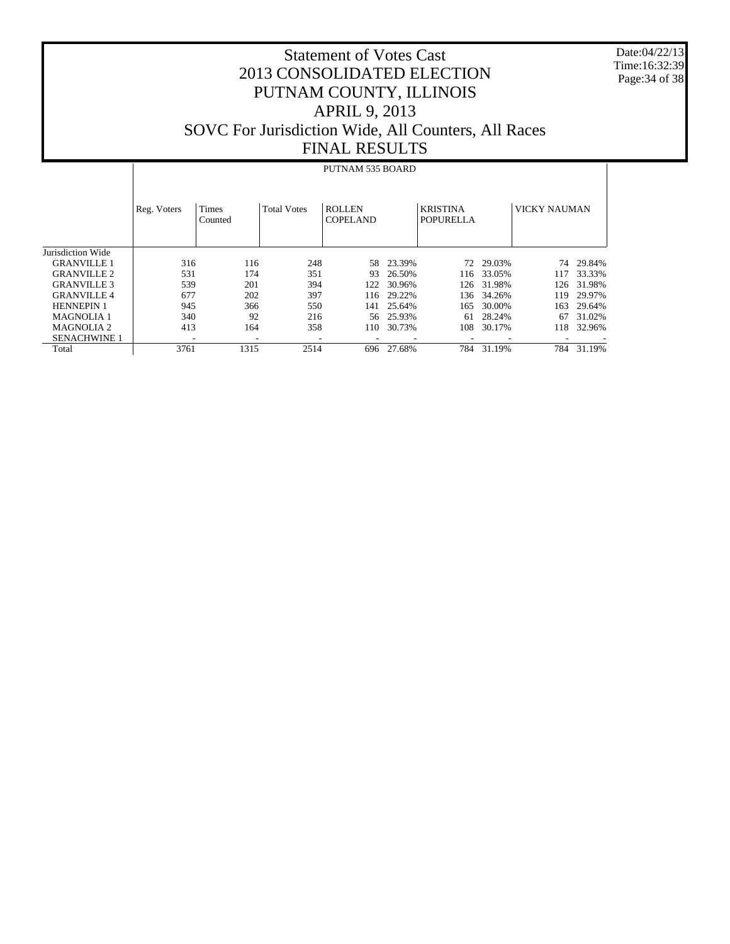Date:04/22/13 Time:16:32:39 Page:34 of 38

#### Statement of Votes Cast 2013 CONSOLIDATED ELECTION PUTNAM COUNTY, ILLINOIS APRIL 9, 2013 SOVC For Jurisdiction Wide, All Counters, All Races FINAL RESULTS

#### Jurisdiction Wide GRANVILLE 1 GRANVILLE 2 GRANVILLE 3 GRANVILLE 4 HENNEPIN 1 MAGNOLIA 1 MAGNOLIA 2 SENACHWINE 1 Total Reg. Voters | Times Counted Total Votes | ROLLEN COPELAND KRISTINA POPURELLA VICKY NAUMAN PUTNAM 535 BOARD 316 116 248 58 23.39% 72 29.03% 74 29.84%<br>531 174 351 93 26.50% 116 33.05% 117 33.33% 531 174 351 93 26.50% 116 33.05%<br>539 201 394 122 30.96% 126 31.98% 539 201 394 122 30.96% 126 31.98% 126 31.98% 677 202 397 116 29.22% 136 34.26% 119 29.97% 9550 141 25.64% 165 30.00% 165 30.00% 165 30.00% 165 30.00% 340 92 216 56 25.93% 61 28.24% 67 31.02% 110 30.73% - - - - - - - - - 3761 1315 2514 696 27.68% 784 31.19% 784 31.19%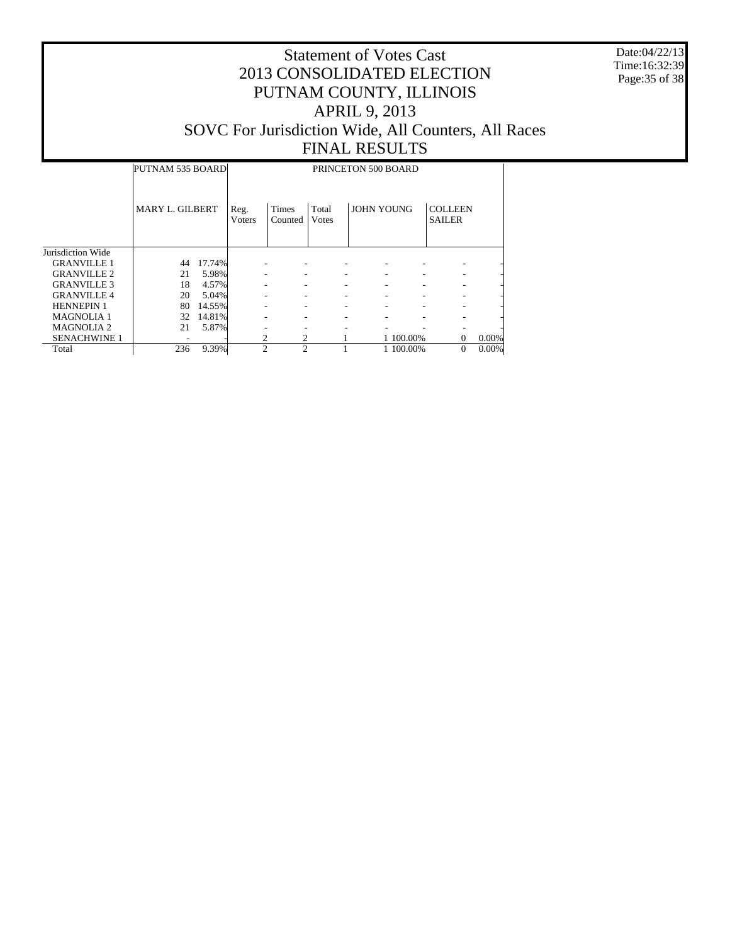Date:04/22/13 Time:16:32:39 Page:35 of 38

#### Statement of Votes Cast 2013 CONSOLIDATED ELECTION PUTNAM COUNTY, ILLINOIS APRIL 9, 2013 SOVC For Jurisdiction Wide, All Counters, All Races FINAL RESULTS

# PRINCETON 500 BOARD

Τ

|                     | PUTNAM 535 BOARD |        |                        |                  |                | PRINCETON 500 BOARD |           |                                 |       |
|---------------------|------------------|--------|------------------------|------------------|----------------|---------------------|-----------|---------------------------------|-------|
|                     | MARY L. GILBERT  |        | Reg.<br><b>V</b> oters | Times<br>Counted | Total<br>Votes | <b>JOHN YOUNG</b>   |           | <b>COLLEEN</b><br><b>SAILER</b> |       |
| Jurisdiction Wide   |                  |        |                        |                  |                |                     |           |                                 |       |
| <b>GRANVILLE 1</b>  | 44               | 17.74% |                        |                  |                |                     |           |                                 |       |
| <b>GRANVILLE 2</b>  | 21               | 5.98%  |                        |                  |                |                     |           |                                 |       |
| <b>GRANVILLE 3</b>  | 18               | 4.57%  |                        |                  |                |                     |           |                                 |       |
| <b>GRANVILLE4</b>   | 20               | 5.04%  |                        |                  |                |                     |           |                                 |       |
| <b>HENNEPIN 1</b>   | 80               | 14.55% |                        |                  | ۰              |                     |           |                                 |       |
| <b>MAGNOLIA1</b>    | 32               | 14.81% |                        |                  |                |                     |           |                                 |       |
| <b>MAGNOLIA 2</b>   | 21               | 5.87%  |                        |                  |                |                     |           |                                 |       |
| <b>SENACHWINE 1</b> |                  |        | 2                      |                  |                |                     | 1 100.00% | $\mathbf{0}$                    | 0.00% |
| Total               | 236              | 9.39%  | $\mathfrak{D}$         | $\mathfrak{D}$   |                |                     | 1 100.00% | $\mathbf{0}$                    | 0.00% |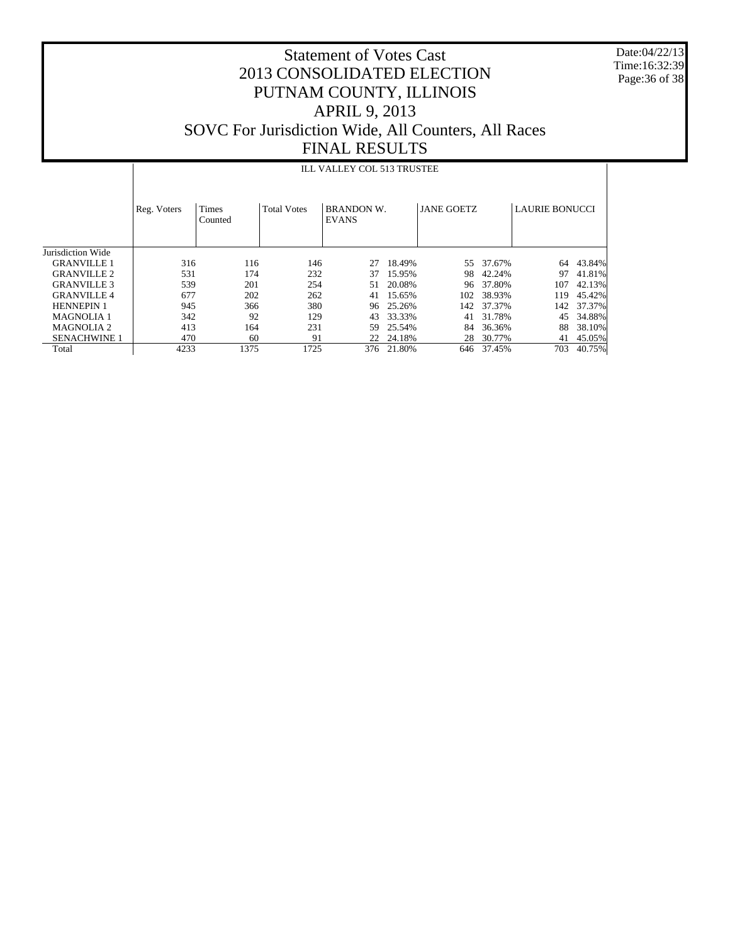Date:04/22/13 Time:16:32:39 Page:36 of 38

## Statement of Votes Cast 2013 CONSOLIDATED ELECTION PUTNAM COUNTY, ILLINOIS APRIL 9, 2013 SOVC For Jurisdiction Wide, All Counters, All Races FINAL RESULTS

#### ILL VALLEY COL 513 TRUSTEE

|                     | Reg. Voters | Times<br>Counted | <b>Total Votes</b> | BRANDON W.<br><b>EVANS</b> |            | <b>JANE GOETZ</b> |        | <b>LAURIE BONUCCI</b> |        |
|---------------------|-------------|------------------|--------------------|----------------------------|------------|-------------------|--------|-----------------------|--------|
| Jurisdiction Wide   |             |                  |                    |                            |            |                   |        |                       |        |
| <b>GRANVILLE 1</b>  | 316         | 116              | 146                | 27                         | 18.49%     | 55                | 37.67% | 64                    | 43.84% |
| <b>GRANVILLE 2</b>  | 531         | 174              | 232                | 37                         | 15.95%     | 98                | 42.24% | 97                    | 41.81% |
| <b>GRANVILLE 3</b>  | 539         | 201              | 254                | 51                         | 20.08%     | 96                | 37.80% | 107                   | 42.13% |
| <b>GRANVILLE 4</b>  | 677         | 202              | 262                | 41                         | 15.65%     | 102               | 38.93% | 119                   | 45.42% |
| <b>HENNEPIN 1</b>   | 945         | 366              | 380                | 96                         | 25.26%     | 142               | 37.37% | 142                   | 37.37% |
| <b>MAGNOLIA 1</b>   | 342         | 92               | 129                | 43                         | 33.33%     | 41                | 31.78% | 45                    | 34.88% |
| <b>MAGNOLIA 2</b>   | 413         | 164              | 231                | 59                         | 25.54%     | 84                | 36.36% | 88                    | 38.10% |
| <b>SENACHWINE 1</b> | 470         | 60               | 91                 |                            | 22 24.18%  | 28                | 30.77% | 41                    | 45.05% |
| Total               | 4233        | 1375             | 1725               |                            | 376 21.80% | 646               | 37.45% | 703                   | 40.75% |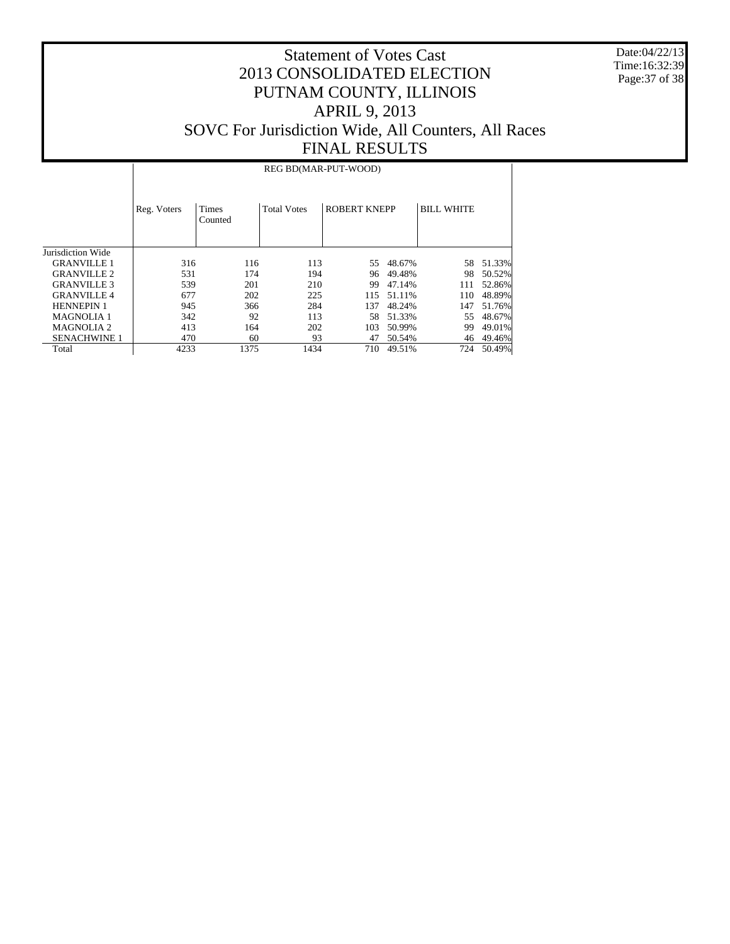Date:04/22/13 Time:16:32:39 Page:37 of 38

## Statement of Votes Cast 2013 CONSOLIDATED ELECTION PUTNAM COUNTY, ILLINOIS APRIL 9, 2013 SOVC For Jurisdiction Wide, All Counters, All Races FINAL RESULTS

#### REG BD(MAR-PUT-WOOD)

|                     | Reg. Voters | Times<br>Counted | <b>Total Votes</b> | <b>ROBERT KNEPP</b> |        | <b>BILL WHITE</b> |        |
|---------------------|-------------|------------------|--------------------|---------------------|--------|-------------------|--------|
| Jurisdiction Wide   |             |                  |                    |                     |        |                   |        |
| <b>GRANVILLE 1</b>  | 316         | 116              | 113                | 55.                 | 48.67% | 58                | 51.33% |
| <b>GRANVILLE 2</b>  | 531         | 174              | 194                | 96                  | 49.48% | 98                | 50.52% |
| <b>GRANVILLE 3</b>  | 539         | 201              | 210                | 99                  | 47.14% | 111               | 52.86% |
| <b>GRANVILLE4</b>   | 677         | 202              | 225                | 115                 | 51.11% | 110               | 48.89% |
| <b>HENNEPIN 1</b>   | 945         | 366              | 284                | 137                 | 48.24% | 147               | 51.76% |
| <b>MAGNOLIA 1</b>   | 342         | 92               | 113                | 58.                 | 51.33% | 55                | 48.67% |
| <b>MAGNOLIA 2</b>   | 413         | 164              | 202                | 103                 | 50.99% | 99                | 49.01% |
| <b>SENACHWINE 1</b> | 470         | 60               | 93                 | 47                  | 50.54% | 46                | 49.46% |
| Total               | 4233        | 1375             | 1434               | 710                 | 49.51% | 724               | 50.49% |